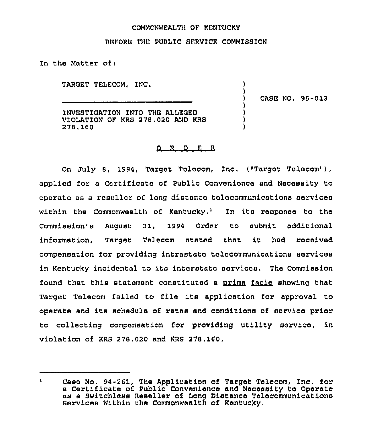## COMMONWEALTH OF KENTUCKY

## BEFORE THE PUBLIC SERVICE COMMISSION

In the Matter ofi

TARGET TELECOM, INC,

) CASE NO, 95-013

) )

> ) ) ) )

INVESTIGATION INTO THE ALLEGED VIOLATION OF KRS 278,020 AND KRS 278,160

## O R D E R

On July 8, 1994, Target Telecom, Inc. (»Target Telecom"), applied for a Certificate of Public Convenience and Necessity to operate as a reseller of long distance telecommunications cervices within the Commonwealth of Kentucky.<sup>1</sup> In its response to the Commission's August 31, 1994 Order to submit additional information, Target Telecom stated that it had received compensation for providing intrastate telecommunications services in Kentucky incidental to its interstate services, The Commission found that this statement constituted a prima facie showing that Target Telecom failed to file its application for approval to operate and its schedule of rates and conditions of service prior to collecting compensation for providing utility service, in violation of KRS 278.020 and KRS 278.160,

 $\mathbf{r}$ Case No. 94-261, The Application of Target Telecom, Inc. for a Certificate of Public Convenience and Necessity to Operate as a Switchless Reseller of Iong Distance Telecommunications Services Within the Commonwealth of Kentucky,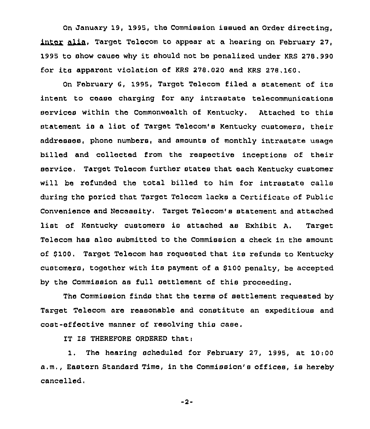On January 19, 1995, the Commission issued an Order directing, inter alia. Target Telecom to appear at a hearing on February 27, 1995 to show cause why it should not ba penalized under KRS 278.990 for its apparent violation of KRS 278,020 and KRS 278, 160.

On February 6, 1995, Target Telecom filed <sup>a</sup> statement of its intent to cease charging for any intrastate telecommunications services within the Commonwealth of Kentucky. Attached to this statement is <sup>a</sup> list of Target Telecom's Kentucky customers, their addresses, phono numbers, and amounts of monthly intrastate usage billed and collected fx'om the respective inceptions of their service, Target Telecom further states that each Kentucky customer will be refunded the total billed to him for intrastate calle during the period that Target Telecom lacks a Certificate of Public Convenience and Necessity. Target Telecom's statement and attached list of Kentucky customers is attached as Exhibit A. Target Telecom has also submitted to the Commission a check in the amount of 6100. Target Telecom has requested that its refunds to Kentucky customers, together with its payment of a 8100 penalty, be accepted by the Commission as full settlement of this proceeding.

The Commission finds that the terms of settlement requested by Target Telecom are reasonable and constitute an expeditious and cost-effective manner of resolving this case.

IT IS THEREFORE ORDERED that:

1. The hearing scheduled for February 27, 1995, at 10:00 a.m., Eastern Standard Time, in the Commission's offices, is hereby cancelled.

-2-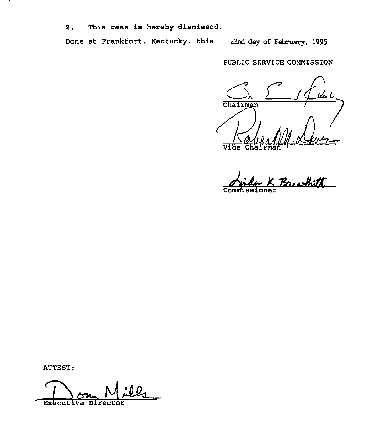2. This case is hereby dismissed.

Done at Frankfort, Kentucky, this 22nd day of February, 1995

PUBLIC SERVICE COMMISSION

Chairman  $\overline{\text{v1}}$ 

Breachitt Commissione

ATTEST:

N D Executive Director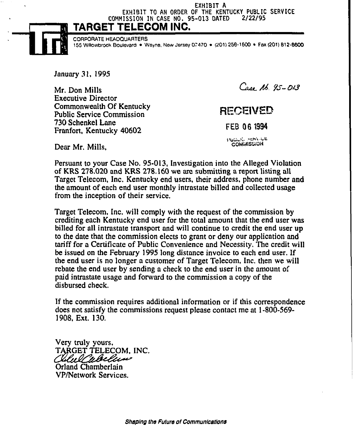EXHIBIT A EXHIBIT TO AN ORDER OF THE KENTUCKY PUBLIC SERVICE<br>USSION IN CASE NO. 95-013 DATED 2/22/95 COMMISSION IN CASE NO. 95-013 DATED

TARGET TELECOM INC.



CORPORATE HEAOQUARTERS 155 Willowbrook Boulevard · Wayne, New Jersey 07470 · (201) 256-1600 · Fax (201) 812-6600

January 31, 1995

Mr. Don Mills Executive Director Commonwealth Of Kentucky Public Service Commission 730 Schenkel Lane Franfort, Kentucky 40602

Case 16, 95-013

## **RECEIVED**

FEB 06 1994

Public service **COMMISSION** 

Dear Mr. Mills,

Persuant to your Case No. 95-013, Investigation into the Alleged Violation of KRS 278.020 and KRS 278.160 we are submitting a report listing all Target Telecom, Inc. Kentucky end users, their address, phone number and the amount of each end user monthly intrastate billed and collected usage from the inception of their service,

Target Telecom, Inc. will comply with the request of the commission by crediting each Kentucky end user for the total amount that the end user was billed for all intrastate transport and will continue to credit the end user up to the date that the commission elects to grant or deny our application and tariff for a Certificate of Public Convenience and Necessity. The credit will be issued on the February 1995 long distance invoice to each end user. If the end user is no longer a customer of Target Telecom, Inc. then we will rebate the end user by sending a check to the end user in the amount of paid intrastate usage and forward to the commission a copy of the disbursed check.

If the commission requires additional information or if this correspondence does not satisfy the commissions request please contact me at 1-800-569- 1908, Ext. 130,

Very truly yours, TARGET TELECOM, INC. Calul Wollew Orland Chamberlain

VP/Network Services.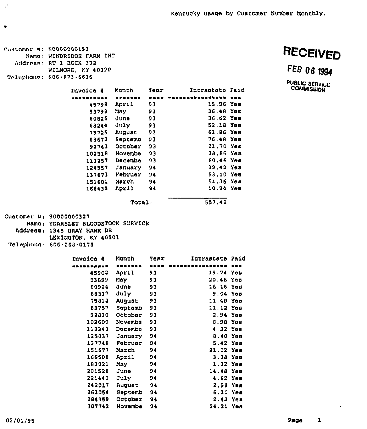Cuntomor #: 50000000193 Nam<mark>o: WINDRIDGE FARM</mark> INC Addroan; RT 1 BOCX 392 Telephone: 606-873-6636 WILMORE, KY 40390

 $\mathcal{C}^{\mathcal{N}}$ 

 $\bullet$ 

RECEIVED

FEB 06 1994

PUBLIC SERVICE<br>COMMISSION

| Invoice # | Month   | Yoar | Intrastato Paid |  |
|-----------|---------|------|-----------------|--|
|           |         |      |                 |  |
| 45798     | April   | 93   | 15.96 Yes       |  |
| 53799     | May.    | 93   | $36.48$ Yes     |  |
| 60826     | June    | 33   | 36.62 Yea       |  |
| 68244     | July    | 93   | 52,18 Yes       |  |
| 75725     | August  | 93   | 63.86 Yes       |  |
| 83672     | Septemb | 93   | 76,48 Yes       |  |
| 92743     | October | 93   | $21.70Y$ om     |  |
| 102518    | Novembe | 93   | 38.86 Yes       |  |
| 113257    | Docembo | 93   | $60.46$ Yes     |  |
| 124957    | January | 94   | 39.42 Yes       |  |
| 137673    | Februar | 94   | $53.10$ Yes     |  |
| 151601    | March   | 94   | 51.36 Yes       |  |
| 166435    | April   | 94   | 10.94 Yes       |  |
|           | Total:  |      | 557.42          |  |

Customer #: 50000000<mark>327</mark> Nam<mark>o: YEARSLEY BLOODSTOCK SERVICE</mark> Addreasl 1345 DRAY HAWK DR LEKINOTON, KY 40501

Talephonn: GOG <sup>~</sup> 2GB-0178

| Invoica # | Month   | Year | Intrastate  | Paid |
|-----------|---------|------|-------------|------|
|           |         | ---- |             |      |
| 45902     | April   | 93   | 19.74 Yes   |      |
| 53899     | May     | 93   | 20.48 Yes   |      |
| 60924     | งันทอ   | 93   | $16.16$ Yes |      |
| 68337     | July    | 93   | 9.04 Yes    |      |
| 75812     | August  | 93   | 11.48 Yes   |      |
| 83757     | Septemb | 93   | 11.12 Yes   |      |
| 92830     | October | 93   | 2.94        | Yes  |
| 102600    | Novembe | 93   | $0.98$ Yes  |      |
| 113343    | Decembe | 93   | 4.32 Yes    |      |
| 125037    | January | 94   | $0.40$ Yea  |      |
| 137748    | Februar | 94   | $5.42$ Yes  |      |
| 151677    | March   | 94   | 21.02 Yes   |      |
| 166508    | April   | 94   | 3.98 Yes    |      |
| 183021    | May     | 94   | 1.32 Yes    |      |
| 201528    | June    | 94   | 14.48 Yes   |      |
| 221440    | July    | 94   | $4.62$ Yes  |      |
| 242017    | August  | 94   | 2.98 Yes    |      |
| 263054    | Septemb | 94   | $6.10$ Yes  |      |
| 284959    | October | 94   | 2.42 Yes    |      |
| 307742    | Novembe | 94   | 24.21 Yes   |      |
|           |         |      |             |      |

 $\hat{\boldsymbol{\epsilon}}$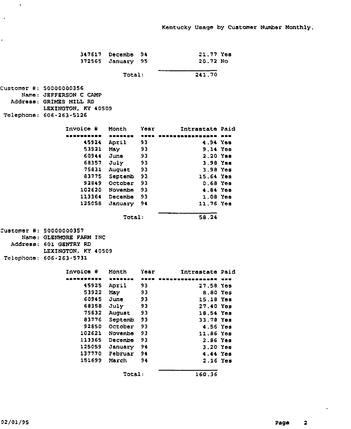|                         | 347617 Decembe | 94   | 21.77 Yes            |     |
|-------------------------|----------------|------|----------------------|-----|
| 372565                  | January        | 95   | 20.72 No             |     |
|                         | Total:         |      | 241.70               |     |
| Customer #: 50000000356 |                |      |                      |     |
| Name: JEFFERSON C CAMP  |                |      |                      |     |
| Address: GRIMES MILL RD |                |      |                      |     |
| LEXINGTON, KY 40509     |                |      |                      |     |
| Telephone: 606-263-5126 |                |      |                      |     |
| Invoice #               | Month          | Year | Intrastate Paid      |     |
| .                       | <b>ERROLLN</b> | 医膀胱炎 | <b>BOSSEDDER RED</b> |     |
| 45924                   | April          | 93   | 4.94 Yos             |     |
| 53921                   | May            | 93   | 9.14 Yes             |     |
| 60944                   | June           | 93   | 2.20 Yes             |     |
| 68357                   | July           | 93   | 3.98 Yes             |     |
| 75831                   | August         | 93   | 3.98 Yes             |     |
| 83775                   | Septemb        | 93   | 15.64 Yea            |     |
| 92849                   | October        | 93   | $0.68$ Yes           |     |
| 102620                  | Novembe        | 93   | 4.84 Yes             |     |
|                         | 113364 Decembe | 93   | $1.08$ Yes           |     |
| 125058                  | January        | 94   | 11.76 Yes            |     |
|                         | Total:         |      | 58.24                |     |
| Customar #: 50000000357 |                |      |                      |     |
| Name: GLENMORE FARM INC |                |      |                      |     |
| Address: 601 GENTRY RD  |                |      |                      |     |
| LEXINGTON, KY 40509     |                |      |                      |     |
| Telephone: 606-263-5731 |                |      |                      |     |
| Invoice #               | Month          | Year | Intrastate Paid      |     |
| - - - - <b>-</b>        | -------        | ---  | . m ar               | --- |
| 45925                   | April          | 93   | 27.58 Үөв            |     |
| 53922                   | May            | 93   | 8.80 Yes             |     |
| 60945                   | June           | 93   | 15.18 Үев            |     |
| 68358                   | July           | 93   | 27.40 Yos            |     |
| 75832                   | August         | 93   | 18.54 Yes            |     |
| 83776                   | Septemb        | 93   | 33.78 Yes            |     |
| 92850                   | October        | 93   | 4.56 Yes             |     |
| 102621                  | Novembe        | 93   | 11.86 Yes            |     |
| 113365                  | Decembe        | 93   | 2.86 Yes             |     |
| 125059                  | January        | 94   | 3.20 Yes             |     |
| 137770                  | Februar        | 94   | 4.44 Yes             |     |
| 151699                  | March          | 94   | 2.16 Yes             |     |
|                         | Total:         |      | 160.36               |     |

 $\sim$   $\sim$ 

 $\langle \cdot \rangle$ 

 $\hat{\mathbf{r}}$ 

 $\langle \cdot \rangle$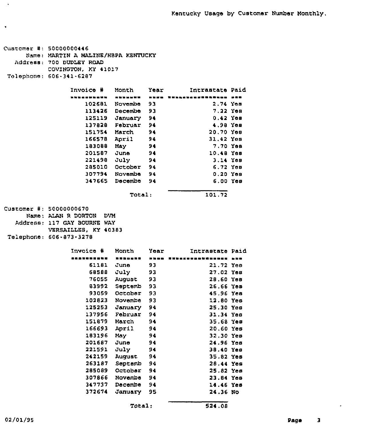```
Customer #: 50000000446
      Name: MARTIN A MALINE/HBPA KENTUCKY
   Address: 700 DUDLEY ROAD
            COVINGTON, KY 41017
Telephone: 606-341-6287
                  Invoice ¹ Month Year Intrastate Paid
                      102681 Novemb
                      113426
Decembe
93
                      125119 Januar
                      137828
Februar
94
                      151754
March
                      166578 Apri
                      183088
May
                      201587
June
                      221498
July
                      285010
October
94
                      307794
Novembe
94
                      3<mark>47665 Decembe 94</mark>
                                       93
                                        94
                                        94
                                        94
                                        94
                                        94
                                        94
                                                         2.74 Yes
                                                         7.22 Yds
                                                         0.42 Yes
                                                        4.98 Yes
                                                        20.70 Yes
                                                        31.42 Yes
                                                        7.70 Yes
                                                       10.48 Yes
                                                         3.14 Yds
                                                         6.72 Yes
                                                          0.20 Yes
                                                          6.00 Yes
                                  Total: 101.72
Customer #: 50000000670
      Name: ALAN R DORTON DVM
   Address: 117 GAY BOURNE WAY
            VERSAILLES, KY 40383
 Telephone: 606-873-3278
                  Invoice ¹ Month Year Intrastate Paid
                        61181
June
                        68588
July
                        76055 Augu<mark>s</mark>
                        83992
Septemb
93
                        93059
October
                      102823
Novembe
                      125253 Januar
                      137956
Februar
94
                      151879
March
                       166693
April
                       183196 M<mark>a</mark>y
                      201687
June
                      221591
July
                      242159 Augu<mark>s</mark>
                       263187 Septemb 94
                      285089
October
                      307866 No<mark>ve</mark>mb
                      347737
Decembe
                      372674 January 95
                                        93
                                        93
                                        93
                                        93
                                        93
                                        94
                                        94
                                        94
                                        94
                                        94
                                        94
                                        94
                                        94
                                        94
                                        94
                                                        21.72 Yes
                                                        27.02 Yes
                                                        28.60 Yes
                                                        26.66 Yes
                                                        45.96 Yes
                                                        1,2.80 Yes
                                                        25.30 Yes
                                                        31.34 Yes
                                                        35.68 Yes
                                                        20.60 Yes
                                                        32.30 Yes
                                                        24.96 Yes
                                                        38.40 Yes
                                                        35.82 Yes
                                                        28,44 Yes
                                                        25.82 Yes
                                                        23.84 Yes
                                                        14.46 Yes
                                                        24.36 No
                                   Total: 524.08
```
×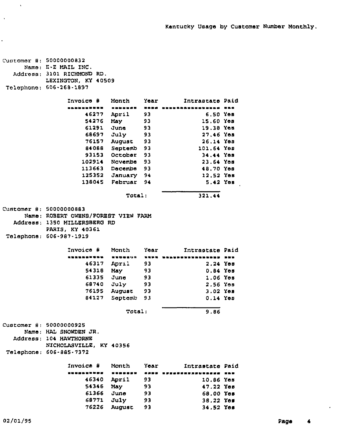| Customer #: 50000000832 | Namo: E-Z MAIL INC.<br>Address: 3101 RICHMOND RD.<br>LEXINGTON, KY 40509<br>Telephone: 606-268-1897               |                |          |                        |  |
|-------------------------|-------------------------------------------------------------------------------------------------------------------|----------------|----------|------------------------|--|
|                         | Invoice #                                                                                                         | Month          | Year     | Intrastate Paid        |  |
|                         | --------- <b>-</b>                                                                                                | -------        | ----     | -------------          |  |
|                         | 46277                                                                                                             | April          | 93       | 6.50 Yes               |  |
|                         | 54276                                                                                                             | May            | 93       | 15.60 Yes              |  |
|                         | 61291                                                                                                             | June           | 93       | 19.38 Yes              |  |
|                         | 68697                                                                                                             | July           | 93       | 27.46 Yes              |  |
|                         | 76157                                                                                                             | August         | 93       | 26.14 Yes              |  |
|                         | 84088                                                                                                             | Septemb        | 93       | 101.64 Yes             |  |
|                         | 93153                                                                                                             | October        | 93       | 34.44 Yes              |  |
|                         | 102914                                                                                                            | Novembe        | -93      | 23.64 Yes              |  |
|                         | 113663                                                                                                            | Dacamba        | - 93     | 48.70 Yes              |  |
|                         | 125352                                                                                                            | January 94     |          | 12.52 Yes              |  |
|                         | 138045                                                                                                            | Februar 94     |          | 5.42 Yes               |  |
|                         |                                                                                                                   | Total:         |          | 321.44                 |  |
| Customer #: 50000000883 | Name: ROBERT OWENS/FOREST VIEW FARM<br>Address: 1350 MILLERSBERG RD<br>PARIS, KY 40361<br>Telephone: 606-987-1919 |                |          |                        |  |
|                         | Invoice #                                                                                                         | Month          | Year     | Intrastate Paid        |  |
|                         |                                                                                                                   |                |          |                        |  |
|                         | <b>**********</b>                                                                                                 | -------        | ****     | ********************   |  |
|                         | 46317                                                                                                             | April          | 93       | 2.24 Yes               |  |
|                         | 54318                                                                                                             | May            | 93       | 0.84 Yes               |  |
|                         | 61335                                                                                                             | June           | -93      | $1.06$ Yes             |  |
|                         | 68740                                                                                                             | July           | -93      | 2.56 Yes               |  |
|                         | 76195                                                                                                             | August         | 93       | $3.02$ Yes             |  |
|                         | 84127                                                                                                             | Septemb        | 93       | $0.14$ Yes             |  |
|                         |                                                                                                                   | Total:         |          | 9.86                   |  |
| Customer #: 50000000925 | Name; HAL SNOWDEN JR.<br>Address: 104 HAWTHORNE<br>NICHOLASVILLE, KY 40356<br>Telephone: 606-885-7372             |                |          |                        |  |
|                         | Invoice #                                                                                                         | Month          | Year     | Intrastate Paid        |  |
|                         | .                                                                                                                 | <b>======</b>  |          |                        |  |
|                         | 46340                                                                                                             | April          | 93       | 10.86 Yes              |  |
|                         | 54346                                                                                                             | May            | 93       | 47.22 Yes              |  |
|                         | 61366                                                                                                             | June           | 93       | 68.00 Yes              |  |
|                         | 68771<br>76226                                                                                                    | July<br>August | 93<br>93 | 38.22 Yes<br>34.52 Yes |  |

 $\sim$   $\chi$ 

 $\Delta$ 

 $\ddot{\phantom{0}}$ 

 $\sim 10^6$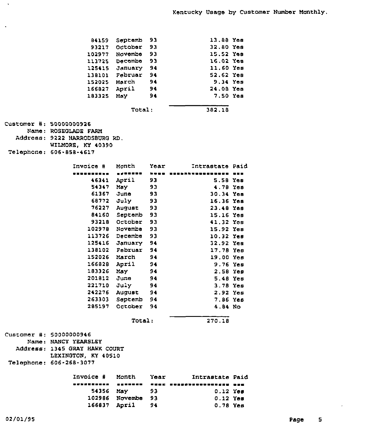|                         | 84159                         | Septemb               | 93   | 13.88 Yes                        |  |
|-------------------------|-------------------------------|-----------------------|------|----------------------------------|--|
|                         |                               | 93217 October         | 93   | 32.80 Yes                        |  |
|                         |                               |                       |      |                                  |  |
|                         |                               | 102977 Novembe        | 93   | 15.52 Yes                        |  |
|                         |                               | 113725 Decembe 93     |      | 16.02 Yes                        |  |
|                         |                               | 125415 January 94     |      | 11.60 Yes                        |  |
|                         |                               | 138101 Februar        | - 94 | 52.62 Yes                        |  |
|                         | 152025 March                  |                       | 94   | 9.34 Yes                         |  |
|                         | 166827 April                  |                       | 94   | 24.08 Yes                        |  |
|                         | 183325                        | <b>May</b>            | 94   | 7.50 Yes                         |  |
|                         |                               |                       |      |                                  |  |
|                         |                               | Total:                |      | 382.18                           |  |
|                         |                               |                       |      |                                  |  |
| Customer #: 50000000926 |                               |                       |      |                                  |  |
|                         | Name: ROSEGLADE FARM          |                       |      |                                  |  |
|                         | Address: 9222 HARRODSBURG RD. |                       |      |                                  |  |
|                         | WILMORE, KY 40390             |                       |      |                                  |  |
|                         | Telephone: 606-858-4617       |                       |      |                                  |  |
|                         |                               |                       |      |                                  |  |
|                         | Invoice #                     | Month                 | Year | Intrastate Paid                  |  |
|                         | . <b>.</b> .                  | . <b>.</b> .          |      | <b>ENER RESSAANDRESERRED BYB</b> |  |
|                         | 46341                         | April                 | 93   | 5.58 Yes                         |  |
|                         | 54347                         | May                   | 93   | 4.78 Yes                         |  |
|                         | 61367 June                    |                       | 93   | 30.34 Yes                        |  |
|                         | 68772 July                    |                       | 93   | 16.36 Yes                        |  |
|                         |                               | 76227 August          | 93   | 23.48 Yes                        |  |
|                         |                               | 84160 Septemb 93      |      | 15.16 Yes                        |  |
|                         |                               | 93218 October         | - 93 | 41.32 Yes                        |  |
|                         |                               | 102978 Novembe        | - 93 | 15.92 Yes                        |  |
|                         |                               | 113726 Decembe        | - 93 | 10.32 Yes                        |  |
|                         |                               | 125416 January 94     |      | 32.92 Yea                        |  |
|                         |                               | 138102 Februar        | 94   | 17.78 Yes                        |  |
|                         | 152026 March                  |                       | 94   |                                  |  |
|                         | 166828                        |                       |      | $19.00$ Yes                      |  |
|                         |                               | April                 | 94   | $9.76$ Yes                       |  |
|                         | 183326                        | May                   | 94   | 2.58 Yes                         |  |
|                         | 201812 June                   |                       | 94   | 5.48 Yes                         |  |
|                         | 221710 July                   |                       | 94   | $3.78$ Yes                       |  |
|                         |                               | 242276 August         | 94   | 2.92 Yes                         |  |
|                         | 263303                        | Septemb 94            |      | 7.86 Yes                         |  |
|                         | 285197                        | October               | 94   | 4.84 No                          |  |
|                         |                               | <b>Total:</b>         |      | 270.18                           |  |
|                         |                               |                       |      |                                  |  |
| Customer #: 50000000946 |                               |                       |      |                                  |  |
|                         | Name: NANCY YEARSLEY          |                       |      |                                  |  |
|                         | Address: 1345 GRAY HAWK COURT |                       |      |                                  |  |
|                         | LEXINGTON, KY 40510           |                       |      |                                  |  |
|                         | Telephone: 606-268-3077       |                       |      |                                  |  |
|                         | Invoice #                     | Month                 | Year | Intrastate Paid                  |  |
|                         | -----                         | .                     |      | SUEE SURFITEDEDEDING DEE         |  |
|                         | 54356                         |                       | 93   |                                  |  |
|                         |                               | May<br>102986 Novembe |      | $0.12$ Yes                       |  |
|                         |                               |                       | 93   | $0.12$ Yes                       |  |
|                         | 166837 April                  |                       | 94   | 0.78 Yes                         |  |

 $\langle \cdot \rangle$ 

 $\langle \cdot \rangle$ 

 $\epsilon$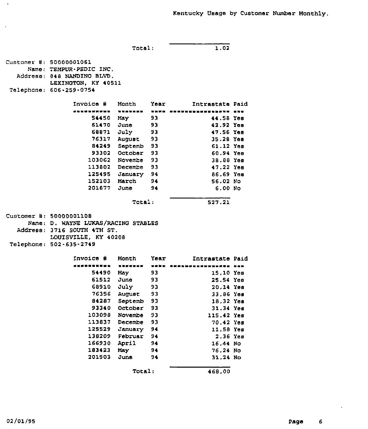Total: 1.02

Address: 848 NANDZNO BLVD. LEXINGTON, KY 40511 Telephone: 606-259-0754 Invoice ¹ Month Year Intrastate Paid 54450 May 93 61470 June 93 68871 July 93 76317 August 93 84249 Septemb 93 93302 October 93 103062 Novembe 93 113802 Decembe 93 125495 January 94 152103 March 94 201877 June 94 44.58 Yss 42.92 Yss 47.56 Yes 35.28 Yes 61.12 Yes 60.94 Yes 38.88 Yes 47.22 Yes 86.69 Yes 56.02 No 6.00 No Total: 527.21  $Cluster #: 50000001108$ Name: D. WAYNE LUKAS/RACING STABLES Address: 3716 SOUTH 4TH ST. LOUISVILLE. KY 40208 Telephone: 502-635-2749 Invoice ¹ Month Year Intrastate Paid 54490 May 93 61512 68910 76356 August 93 84287 Septemb 93 93340 October 93 103098 Novembe 93 113837 Decembe 93 125529 January 94 138209 Februar 94 166930 April 94 183423 May 94 201903 June 94 June 93 July 93 115.42 Yes

Customer #: 50000001061

Name: TEMPUR-PSDIC INC.

Total: 468.00

15.10 Yes 25.54 Yes 20,14 Yes 33.86 Yes 18.32 Yes 31.34 Yes

70.42 Yes 11.58 Yes 2,36 Yes 16,44 No 76.24 No 31.24 No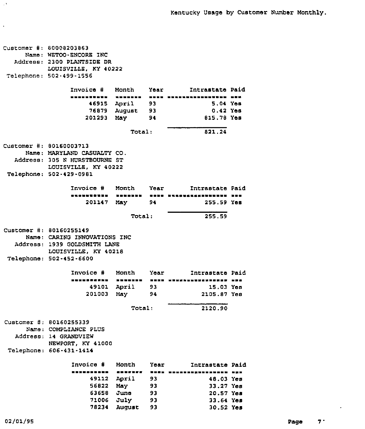| Customer #: 80008203863<br>Name: WETOO-ENCORE INC  |                                  |      |                                   |  |
|----------------------------------------------------|----------------------------------|------|-----------------------------------|--|
| Address: 2300 PLANTSIDE DR<br>LOUISVILLE, KY 40222 |                                  |      |                                   |  |
| Telephone: 502-499-1556                            |                                  |      |                                   |  |
|                                                    |                                  |      |                                   |  |
| Invoice # Month                                    |                                  |      | Year Intrastate Paid              |  |
| .                                                  | --------                         |      | ---- --------------- - <b>--</b>  |  |
|                                                    | 46915 April 93                   |      | 5.04 Yes                          |  |
|                                                    | 76879 August 93<br>201293 May 94 |      | 0.42 Yes<br>815.78 Yes            |  |
|                                                    |                                  |      |                                   |  |
|                                                    | Total:                           |      | 821.24                            |  |
| <b>Customer #: 80160003713</b>                     |                                  |      |                                   |  |
| Name: MARYLAND CASUALTY CO.                        |                                  |      |                                   |  |
| Address: 305 N HURSTBOURNE ST                      |                                  |      |                                   |  |
| LOUISVILLE, KY 40222                               |                                  |      |                                   |  |
| Telephone: 502-429-0981                            |                                  |      |                                   |  |
| Invoice #                                          | Month Year                       |      | Intrastate Paid                   |  |
| ,,,,,,,,,,                                         |                                  |      | HOMOHUM OOKO HAARVAASHHUMUMUM HOO |  |
|                                                    | 201147 May 94                    |      | 255.59 Yes                        |  |
|                                                    |                                  |      |                                   |  |
|                                                    | Total:                           |      | 255.59                            |  |
| Customer #: 80160255149                            |                                  |      |                                   |  |
| Name: CARING INNOVATIONS INC                       |                                  |      |                                   |  |
| Address: 1939 GOLDSMITH LANE                       |                                  |      |                                   |  |
| LOUISVILLE, KY 40218                               |                                  |      |                                   |  |
| Telephone: 502-452-6600                            |                                  |      |                                   |  |
| <b>Invoice #</b>                                   | Month Year                       |      | Intrastate Paid                   |  |
| ----------                                         |                                  |      | ENNESEN HERE KENNALLUSSKERRER HAR |  |
|                                                    | 49101 April 93                   |      | 15.03 Yes                         |  |
| 201003                                             | May                              | 94   | 2105.87 Yes                       |  |
|                                                    | Total:                           |      | 2120.90                           |  |
|                                                    |                                  |      |                                   |  |
| Customer #: 80160255339                            |                                  |      |                                   |  |
| Name: COMPLIANCE PLUS                              |                                  |      |                                   |  |
| Address: 14 GRANDVIEW<br>NEWPORT, KY 41000         |                                  |      |                                   |  |
| Telephone: 606-431-1414                            |                                  |      |                                   |  |
|                                                    |                                  |      |                                   |  |
| Invoice #                                          | Month                            | Year | Intrastate Paid                   |  |
| ----------                                         | -------                          | 医鼻痛痛 |                                   |  |
| 49112                                              | April                            | 93   | 48.03 Yes                         |  |
| 56822                                              | May                              | 93   | 33.27 Yes                         |  |
| 63658                                              | June                             | 93   | 20.57 Yes                         |  |
| 71006                                              | July                             | 93   | 33.64 Yes                         |  |
| 78234                                              | <b>August</b>                    | 93   | 30.52 Yes                         |  |

 $\Delta \Sigma$ 

 $\langle \cdot \rangle$ 

 $\sim 100$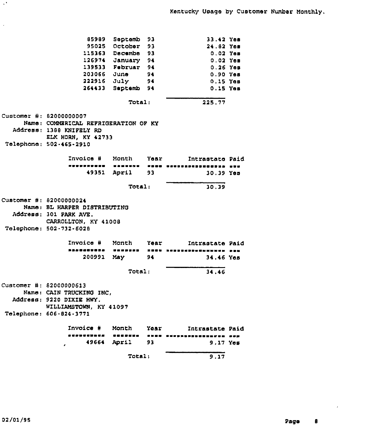|                                      | Total:                                    |            | 9.17                                                     |  |
|--------------------------------------|-------------------------------------------|------------|----------------------------------------------------------|--|
| Invoice #<br>49664                   | Month<br><b>*******</b><br>April          | Yoar<br>93 | Intrastate Paid<br><b>RNON SURPRESSORI</b><br>$9.17$ Yes |  |
| Telephone: 606-824-3771              |                                           |            |                                                          |  |
| WILLIAMSTOWN, KY 41097               |                                           |            |                                                          |  |
| Address: 9220 DIXIE HWY.             |                                           |            |                                                          |  |
| Name: CAIN TRUCKING INC,             |                                           |            |                                                          |  |
| Customer #: 82000000613              |                                           |            |                                                          |  |
|                                      | Total:                                    |            | 34.46                                                    |  |
| 200991                               | May                                       | 94         | 34.46 Yes                                                |  |
| <b>**********</b>                    | <b>UMBPSTB</b>                            |            | HEES REPERSEDUCTIONS SPA                                 |  |
| Invoica #                            | Month                                     | Year       | Intrastate Paid                                          |  |
| Telephone: 502-732-6028              |                                           |            |                                                          |  |
| CARROLLTON, KY 41008                 |                                           |            |                                                          |  |
| Address: 301 PARK AVE.               |                                           |            |                                                          |  |
| Name: BL HARPER DISTRIBUTING         |                                           |            |                                                          |  |
| Customer #: 82000000024              |                                           |            |                                                          |  |
|                                      | Total:                                    |            | 30.39                                                    |  |
|                                      |                                           |            |                                                          |  |
| 49351                                | April 1986                                | 93         | $30.39$ Yes                                              |  |
| ----------                           |                                           |            | POUS COUPSANDORDEDEN SUC                                 |  |
| Invoice #                            | Month Year                                |            | Intrastate Paid                                          |  |
| Telephone: 502-465-2910              |                                           |            |                                                          |  |
| ELK HORN, KY 42733                   |                                           |            |                                                          |  |
| Address: 1388 KNIFELY RD             |                                           |            |                                                          |  |
| Name: COMMERICAL REFRIGERATION OF KY |                                           |            |                                                          |  |
| Customer #: 82000000007              |                                           |            |                                                          |  |
|                                      | Total:                                    |            | 225.77                                                   |  |
|                                      |                                           |            |                                                          |  |
|                                      | 264433 Septemb 94                         |            | $0.15$ Yes<br>$0.15$ Yes                                 |  |
|                                      | 203066 Jun <del>e</del><br>222916 July 94 | - 94       | $0.90$ Yes                                               |  |
|                                      | 139533 Februar 94                         |            | $0.26$ Yes                                               |  |
|                                      | 126974 January 94                         |            | $0.02$ Yes                                               |  |
|                                      | 115363 Decembe 93                         |            | $0.02$ Yes                                               |  |
|                                      | 95025 October                             | 93         | 24.62 Yes                                                |  |
| 65989                                | Soptemb                                   | 93         | 33.42 Yes                                                |  |

 $\mathcal{L}^{\bullet}$ 

 $\hat{\mathcal{A}}$ 

 $\sim$   $\star$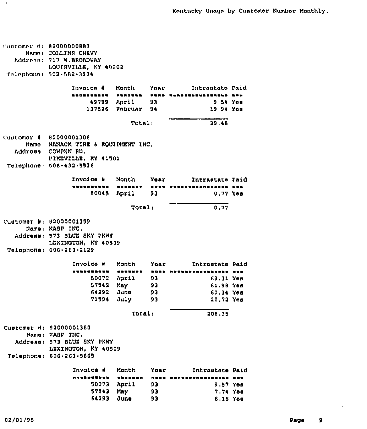Customer #: 82000000889 Name: COLLINS CHEVY Address: 717 W.BROADWAY LOUISVILLE, KY 40202 Telephone> 502-582 <sup>~</sup> 3934 Znvoics <sup>8</sup> Mon'th Yssl'ntrastate Paid 49799 April 93 9,54 Yss 137526 Februar 94 19,94 Yes  $29.48$  $Total<sub>1</sub>$ Customer Hi 8200000130G Namsi NANACK TZAR 8 ROUIPMRNT INC, Address, COWPRN KD, PZKRVZLLR, KY 41501 Telephone: 606-432-5536 Znvoice <sup>8</sup> Month Year Intrastate Paid 50045 April 93 0,77 Yse Total: 0,77 Customer #: 82000001359 Name, KABP ZNC. Address: 573 BLUE BKY PKWY LEXINGTON, KY 40509 Telephone <sup>i</sup> G06 <sup>~</sup> 2G3 <sup>~</sup> 2129 Invoice <sup>8</sup> Month Year Intrastate Paid 50072 April 93 63,31 Yes 57542 May 93 61,98 Yes 64292 Juno 93 60,34 Yes 71594 July 93 20.72 Yes Total: 206.35 Customer #: 82000001360 Nsms: KASP INC. Address: 573 BLUE SKY PKWY LRXINOTON, KY 40509 Telephone: 606-263-5865 Year Intrastate Paid Invoice # Month \$\$ ~ \$ ~\$\$~\$ ~ ~ \$ ~ \$ ~ \$ \$ \$ ~ \$ ~ \$\$~ \ ~ \$ ~ \$ ~ \$ \$\$\$ 50073 April 93 9,57 Yes 57543 93 7,74 Yes Ms'>/ 64293 June 93 8,16 Yas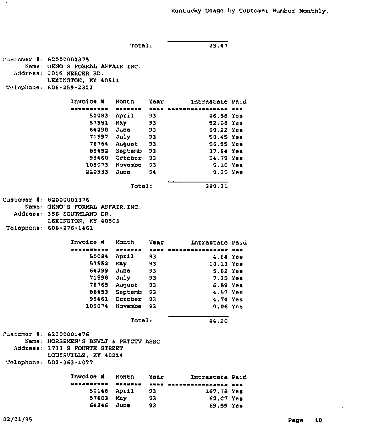Total: 25.47 Cuntomer #: 82000001375 Name; GENG'S FORMAL AFFAIR INC. Address; 2016 MERCER RD. LEXINGTON, KY 40511 Tolophono: 606-259-2323 Invoice # Month Year ~ a ~ \ \ 50083 April 93 57551 64298 71597 78764 August 93 86452 Septamb 93 95460 October 93 105073 Novembe 93 220933 June 94 May 93 June 93 July 93 Intrastate Paid 46.58 Yee 52,08 Yes 68.22 Yes 58.45 Yes 56.95 Yes 37.94 Yee 54.79 Yos 5.10 Yee 0.20 Yee Total: 380,31 Customer #: 82000001376 Namo: GENO'S FORMAL AFFAIR, INC. Address: 356 SOUTHIAND DR. LEXINGTON, KY 40503 Tolophono; 606-276-1461 Invoice ¹ Month Year Intrastate Paid 50084 57552 64299 71598 78765 August 93 86453 Septemb 93 95461 October 93 105074 Novemba 93 April 93 May 93 June 93 July 93 4.84 Yee 10,13 Yes 5.62 Yes 7.35 Yee 6.89 Yes 4.57 Yes 4.?4 Yes 0,06 Yes Total: 44.20 Customer #: 82000001476 Name: HORSEMEN'8 BNVIT 6 PRTCTV ASSC Address: 3733 S FOURTH STREET LOUZSVZLLE, KY 40214 Telephone: 502-363 <sup>~</sup> 1077 Invoice # Month Year - Intrastate Paid <sup>~</sup> aaaaaaa 50146 April 93 57603 May 93 167,78 Yes 62.07 Yes

64346 June

93

69.59 Yem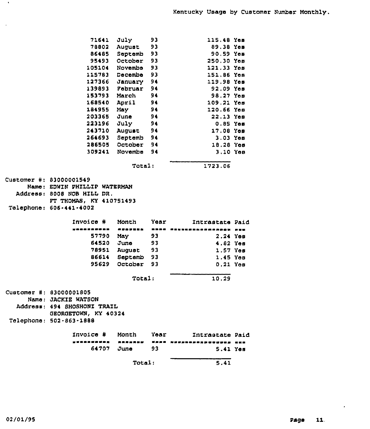|                                                 | Total:                  |              | 5.41                    |  |
|-------------------------------------------------|-------------------------|--------------|-------------------------|--|
| 64707                                           | June                    | 93           | 5.41 Yes                |  |
| Invoice #<br>-----------                        | Month<br><b><i></i></b> | Year<br>医血压的 | Intrastate Paid<br>     |  |
|                                                 |                         |              |                         |  |
| GEORGETOWN, KY 40324<br>Telephone: 502-863-1888 |                         |              |                         |  |
| Address: 494 SHOSHONI TRAIL                     |                         |              |                         |  |
| Name: JACKIE WATSON                             |                         |              |                         |  |
| Customer #: 83000001805                         |                         |              |                         |  |
|                                                 | Total:                  |              | 10.29                   |  |
|                                                 |                         |              |                         |  |
| 95629                                           | Septemb 93<br>October   | 93           | 1.45 Yes<br>0.21 Yes    |  |
| 78951<br>86614                                  | August                  | - 93         | $1.57$ Yes              |  |
| 64520                                           | June                    | 93           | 4.82 Yes                |  |
| 57790                                           | May                     | 93           | 2.24 Yes                |  |
|                                                 | -------                 | ----         |                         |  |
| Invoice #                                       | Month                   | Year         | Intrastate Paid         |  |
|                                                 |                         |              |                         |  |
| Telephone: 606-441-4002                         |                         |              |                         |  |
| FT THOMAS, KY 410751493                         |                         |              |                         |  |
| Address: 8008 NOB HILL DR.                      |                         |              |                         |  |
| Name: EDWIN PHILLIP WATERMAN                    |                         |              |                         |  |
| Customer #: 83000001549                         |                         |              |                         |  |
|                                                 | Total:                  |              | 1723.06                 |  |
|                                                 |                         |              | 3.10 Yes                |  |
| 286505<br>309241                                | October<br>Novembe      | 94           | 18.28 Yos               |  |
|                                                 | Septemb 94              | 94           |                         |  |
| 243710<br>264693                                | August                  | 94           | 17.08 Yem<br>$3.03$ Yes |  |
| 223196                                          | July                    | 94           | $0.85$ Yes              |  |
| 203365                                          | June                    | 94           | 22.13 Үев               |  |
| 184955                                          | May                     | 94           | 120.66 Үев              |  |
| 168540 April                                    |                         | 94           | 109.21 Yes              |  |
| 153793 March                                    |                         | 94           | 98.27 Yes               |  |
|                                                 | 139893 Februar          | 94           | 92.09 Yes               |  |
| 127366                                          | January                 | 94           | 119.98 Yes              |  |
| 115783                                          | Decembe                 | 93           | 151.86 Yes              |  |
| 105104                                          | Novembe                 | 93           | 121.33 Yes              |  |
| 95493                                           | October                 | 93           | 250.30 Yes              |  |
| 86485                                           | Septemb                 | 93           | 90.59 Yes               |  |
|                                                 | 78802 August            | 93           | 89.38 Yes               |  |
| 71641                                           | July                    | 93           | 115.48 Yes              |  |
|                                                 |                         |              |                         |  |

 $\bullet$ 

 $\alpha$ 

 $\epsilon$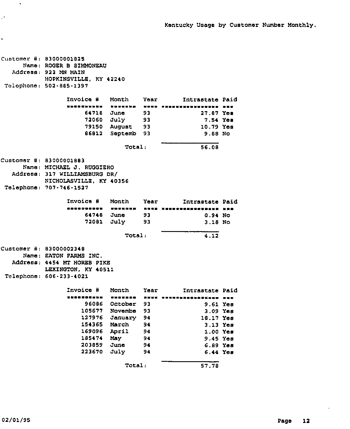```
Customer #: 83000001825
     Name: ROGER B SIMMONEAU
  Address: 922 MN MAIN
           HOPKZNSVILLE, KY 42240
Tolophone: 502-885-1397
                 Invoice # Month Year Intrastate Paid
                 WOW WOW WAS SERVED AND ASSOCIATE TO THE SERVED OF THE SERVED OF THE SERVED OF THE SERVED OF THE SERVED OF THE
                      64718
June
93
                      72060
July
                      79150
August
93
                      86812
Septemb
93
                                    93
                                            27.87 Yes
                                                     7.54 Yaa
                                                    10.79 Yas
                                                    9.88 No
                                Total: 56,08
Customer #: 83000001883
     Name: MICHAEI J. RUGGIERO
  Address: 317 WZLLZAMSBURG DR/
           NICHOLASVILLE, KY 40356
Telephone: 707-746-1527
                 Invoice # Month Year Intrastate Paid
                 \ 1%>$ i\ %II SISS% SIP
                      64748
June 93
                      72081
July 93
                                                     0.94 No
                                                     3.18 No
                                Total: 4,12
Customer #: 83000002348
     Name: EATON PARMS ZNC.
  Address: 4454 MT HOREB PIKE
           LEXINGTON, KY 40511
Telephone: 606-233-4021
                 Invoice # Month Year Intrastate Paid
                 NNOBODONNE WHANGRO ASSE ARENESASONAEKAND ENE
                      96086
October
93
                     105677
Novambe
93
                     127976
January
94
                     154365
March
94
                     169096
                     185474
                     203859
                     223670
                             April
                             May
                             June
                             July
                                      94
                                      94
                                      94
                                      94
                                                      9.61
Yes
                                                      3.09
Yas
                                                     18.17
Yes
                                                      3.13
Yes
                                                      1.00
Yes
                                                      9.45
Yes
                                                      6.89
Yes
                                                      6.44
Yes
                                Total: 57.78
```
 $\ddot{\phantom{a}}$ 

 $\mathcal{O}$ 

 $\ddot{\phantom{a}}$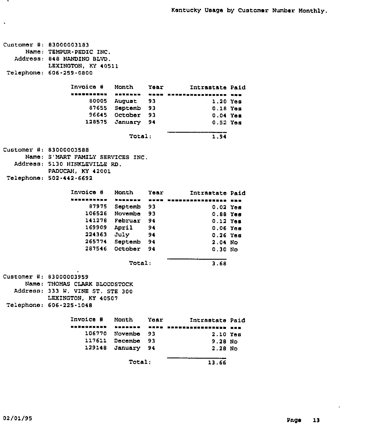Customer 83000003183 Name: TEMPUR-PEDIC INC. Address: 848 NANDZNO BLVD. Telephone; 606-259-0800 LEXINGTON, KY 40511 Invoice # Month Year Intrastate Paid 80005 August 93 87655 Septemb 93 96645 October 93 128575 January 94 1.20 Yas 0.18 Yes 0.04 Yes  $0.52$  Yes Total: 1.94 customer #: 83000003588 Name: S'MART FAMILY SERVICES INC. Address: 5130 HINKLEVILLE RD. Telephone: 502-442-6692 PADUCAH, KY 42001 Invoice ¹ Month Year Intrastate Paid 87975 Septemb 93 106526 Novembe 93 141278 Februar 94 169909 April 94 224363 July 94 265774 Septemb 94 287546 October 94 o,oa Yes 0.88 Yes 0.12 Yes 0.06 Yes o.a6 Yes 2.04 No 0.30 No Total: 3.68 Customer #: 83000003959 Name: THOMAS CLARK BLOODSTOCK Address: 333 W. VINS ST. STE 300 LEXINGTON, KY 40507 Telephone: 606-225-1048 Invoice # Month Year Intrastate Paid 106770 Novembe 93 117611 Decsmbe 93 129148 January 94 2.10 Yes 9.28 No 2,28 No Total: 13.66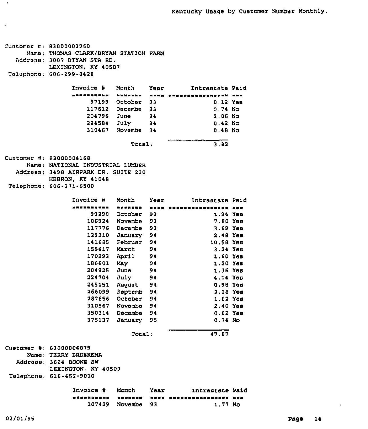| Customer #: 83000003960<br>Name: THOMAS CLARK/BRYAN STATION FARM<br>Address: 3007 BTYAN STA RD.<br>LEXINGTON, KY 40507<br>Telephone: 606-299-8428 |                   |      |                                                        |  |
|---------------------------------------------------------------------------------------------------------------------------------------------------|-------------------|------|--------------------------------------------------------|--|
| Invoice #                                                                                                                                         | Month             |      | Year Intrastate Paid                                   |  |
| ========= <b>=</b>                                                                                                                                |                   |      | SUUREZE ENUR KABBREGEZUZHUNTU NNE                      |  |
|                                                                                                                                                   | 97199 October 93  |      | $0.12$ Yes                                             |  |
|                                                                                                                                                   | 117612 Decembe 93 |      | 0.74 N <sub>O</sub>                                    |  |
| 204796 Jun <del>e</del>                                                                                                                           |                   | 94   | 2.06 No                                                |  |
|                                                                                                                                                   | 224584 July 94    |      | 0.42 N <sub>O</sub>                                    |  |
|                                                                                                                                                   | 310467 Novembe 94 |      | 0.48 N <sub>O</sub>                                    |  |
|                                                                                                                                                   | Total:            |      | 3.82                                                   |  |
| Customer #: 83000004168                                                                                                                           |                   |      |                                                        |  |
| Name: NATIONAL INDUSTRIAL LUMBER                                                                                                                  |                   |      |                                                        |  |
| Address: 3498 AIRPARK DR. SUITE 220                                                                                                               |                   |      |                                                        |  |
| HEBRON, KY 41048                                                                                                                                  |                   |      |                                                        |  |
| Telephone: 606-371-6500                                                                                                                           |                   |      |                                                        |  |
| Invoice #                                                                                                                                         |                   |      |                                                        |  |
| ,,,,,,,,,,,                                                                                                                                       | Month Year        |      | Intrastate Paid<br>RAARSHA - RRAN MANGHARNEENSAHAN ASS |  |
|                                                                                                                                                   | 99290 October 93  |      | 1.94 Yes                                               |  |
|                                                                                                                                                   | 106924 Novembe 93 |      | $7.80$ Yes                                             |  |
|                                                                                                                                                   | 117776 Decembe 93 |      | 3.69 Yes                                               |  |
|                                                                                                                                                   | 129310 January 94 |      | 2.48 Yes                                               |  |
|                                                                                                                                                   | 141685 Februar 94 |      | 10.58 Yes                                              |  |
| 155617                                                                                                                                            | March 94          |      | $3.24$ Yes                                             |  |
| 170293                                                                                                                                            | April 94          |      | 1.60 Yaa                                               |  |
| 186601                                                                                                                                            | May 94            |      | $1.20$ Yes                                             |  |
| 204925                                                                                                                                            | June 94           |      | $1.36$ Yes                                             |  |
| 224704                                                                                                                                            | July 94           |      | 4.14 Yes                                               |  |
| 245151                                                                                                                                            | August 94         |      | 0.98 Yes                                               |  |
| 266099                                                                                                                                            | Septemb 94        |      | $3.28$ Yes                                             |  |
| 287856                                                                                                                                            | October 94        |      | $1.92$ Yes                                             |  |
| 310567                                                                                                                                            | Novembe 94        |      | 2.40 Yes                                               |  |
| 350314                                                                                                                                            | Decembe 94        |      | $0.62$ Yes                                             |  |
| 375137                                                                                                                                            | January 95        |      | $0.74$ No                                              |  |
|                                                                                                                                                   | Total:            |      | 47.87                                                  |  |
| Customer #: 83000004879<br>Name: TERRY BROEKEMA                                                                                                   |                   |      |                                                        |  |
| Address: 3624 BOONE SW                                                                                                                            |                   |      |                                                        |  |
| LEXINGTON, KY 40509                                                                                                                               |                   |      |                                                        |  |
| Telephone: 616-452-9010                                                                                                                           |                   |      |                                                        |  |
| Invoice #                                                                                                                                         | Month             | Year | Intrastate Paid                                        |  |
|                                                                                                                                                   |                   | . .  |                                                        |  |
|                                                                                                                                                   | 107429 Novembe    | 93   | 1.77 No                                                |  |

 $\langle \cdot \rangle$ 

 $\langle \bullet \rangle$ 

 $\bar{\star}$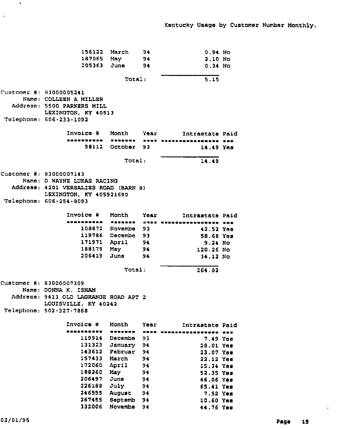| 156122 Narch                                    |                   | 94                                                    | 0.94 N <sub>O</sub>         |  |
|-------------------------------------------------|-------------------|-------------------------------------------------------|-----------------------------|--|
| 187065 May                                      |                   | -94                                                   | 2.10 No                     |  |
| 205363 June                                     |                   | - 94                                                  | 0.34 N <sub>O</sub>         |  |
|                                                 | Total:            |                                                       | 5,15                        |  |
| Customer #: 83000005241                         |                   |                                                       |                             |  |
| Namo: COLLEEN A MILLER                          |                   |                                                       |                             |  |
| Address: 5500 PARKERS MILL                      |                   |                                                       |                             |  |
| LEXINGTON, KY 40513                             |                   |                                                       |                             |  |
| Telephone: 606-233-1092                         |                   |                                                       |                             |  |
| Invoice # Month                                 |                   | Year                                                  | Intrastate Paid             |  |
| .                                               |                   |                                                       | - Wannana - aana haankannoo |  |
| בנו9                                            | October 93        |                                                       | 14.49 You                   |  |
|                                                 | Total:            |                                                       | 14,49                       |  |
| Customer #: 83000007143                         |                   |                                                       |                             |  |
| Name: D WAYNE LUKAS RACING                      |                   |                                                       |                             |  |
| Address: 4201 VERSALIES ROAD (BARN 8)           |                   |                                                       |                             |  |
| LEXINGTON, KY 405921690                         |                   |                                                       |                             |  |
| Telephone: 606-254-8093                         |                   |                                                       |                             |  |
| Invoice #                                       | Month Year        |                                                       | Intrastate Paid             |  |
| <b>WHUMHOLD</b>                                 | .                 | .                                                     | -------                     |  |
|                                                 | 108872 Novembe 93 |                                                       | 42.52 Yem                   |  |
|                                                 | 119786 Decembe 93 |                                                       | 58.68 You                   |  |
|                                                 | 171971 April 94   |                                                       | 9.24 No                     |  |
|                                                 | 188179 May 94     |                                                       | 120.26 No                   |  |
|                                                 | 206419 June 94    |                                                       | 34.12 No                    |  |
|                                                 | Total:            |                                                       | 264.82                      |  |
|                                                 |                   |                                                       |                             |  |
| Customer #: 83000007309<br>Name: DONNA K. ISHAM |                   |                                                       |                             |  |
| Address: 9413 OLD LAGRANGE ROAD APT 2           |                   |                                                       |                             |  |
| LOUISVILLE, KY 40242                            |                   |                                                       |                             |  |
| Telephone: 502-327-7868                         |                   |                                                       |                             |  |
|                                                 |                   |                                                       |                             |  |
| Invoice #                                       | Month             | Yoar                                                  | Intrastate Paid             |  |
| . <u>.</u>                                      | <b></b>           | $\blacksquare \blacksquare \blacksquare \blacksquare$ | WHEREAWERSHED HUN           |  |
| 119914                                          | <b>Decembe</b>    | 93                                                    | 7.49 You                    |  |
| 131323                                          | January           | 94                                                    | 20.01 Yes                   |  |
| 143612                                          | Februar           | 94                                                    | 23.07 You                   |  |
| 157433<br>172060                                | March<br>April    | 94<br>94                                              | 22.12 Yon                   |  |
| 188260                                          | May               | 94                                                    | 15.34 Yes                   |  |
| 206497                                          | June              | 94                                                    | 52.35 Yes                   |  |
| 226188                                          | July              | 94                                                    | 46.06 Yes<br>65.41 Yes      |  |
| 246555                                          | <b>August</b>     | 94                                                    | 7.52 Yes                    |  |
| 267455                                          | Septemb           | 94                                                    | 10.60 Yes                   |  |
| 332006                                          | Novembe           | 94                                                    | 44.76 Yes                   |  |
|                                                 |                   |                                                       |                             |  |

 $\langle \cdot, \cdot \rangle$ 

 $\lambda$ 

 $\sim$   $\alpha$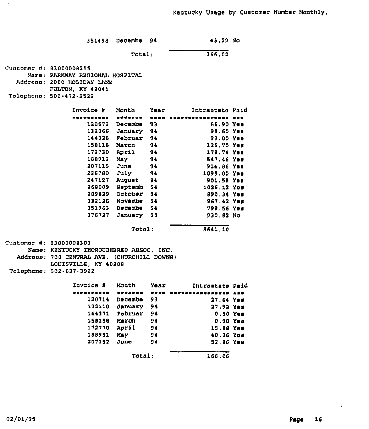| 351498 Decembe 94 | 43.29 No |  |
|-------------------|----------|--|
|                   |          |  |

Total: 366,02

Cuatom<del>a</del>r #: 03000008255 Namel PARKWAY REGIONAL HOSPITAL Address: 2000 HOLIDAY LANE Talaphanel 502-472-2522 PULTON, KY 42041

 $\bullet$ 

| <b>Invoice #</b> | Month          | Year | Intrastate Paid |  |
|------------------|----------------|------|-----------------|--|
|                  | -------        |      |                 |  |
| 120672           | <b>Decembe</b> | 93   | 66.90 Yes       |  |
| 132066           | January        | -94  | 95.60 Yes       |  |
| 144328           | Februar        | 94   | 99.00 Yes       |  |
| 158118           | March          | 94   | 126.70Yee       |  |
| 172730           | April          | 94   | $179.74$ Yes    |  |
| 188912           | May            | 94   | 547.46 Yes      |  |
| 207115           | June           | 94   | 914.86 Yes      |  |
| 226780           | July           | 94   | 1095.00 Yes     |  |
| 247127           | August         | 94   | 901.58 Yes      |  |
| 268009           | <b>Beptemb</b> | - 94 | 1026.12 Yes     |  |
| 289629           | October        | 94   | 890.34 Yes      |  |
| 332126           | Novembe        | 94   | 967.42 Yes      |  |
| 351963           | <b>Decembe</b> | 94   | 799.56 Yes      |  |
| 376727           | January        | 95   | 930.82 No       |  |
|                  | <b>Total:</b>  |      | 8641.10         |  |

|  |  |  | 8641.10 |  |
|--|--|--|---------|--|
|  |  |  |         |  |

| Customer #: 83000008303                     |
|---------------------------------------------|
| Name: KENTUCKY THOROUGHBRED ASSOC. INC.     |
| Address: 700 CENTRAL AVE. (CHURCHILL DOWNS) |
| LOUISVILLE, KY 40208                        |
| Tolephone: 502-637-3922                     |

| Invoica # | Month          | Year | Intrastate Paid  |  |
|-----------|----------------|------|------------------|--|
|           | 当世宗出学室院        | ---  |                  |  |
| 120714    | <b>Decembe</b> | 93   | 27.64 Yes        |  |
| 132110    | January        | 94   | $27.92$ Yea      |  |
| 144371    | Februar        | 94   | $0.50$ Yes       |  |
| 158158    | March          | 94   | $0.90Y$ es       |  |
| 172770    | April          | 94   | 15.88 Yes        |  |
| 188951    | May.           | 94   | <b>40.36 Yes</b> |  |
| 207152    | June           | 94   | 52.86 Yes        |  |
|           | Total:         |      | 166,06           |  |

 $\bullet$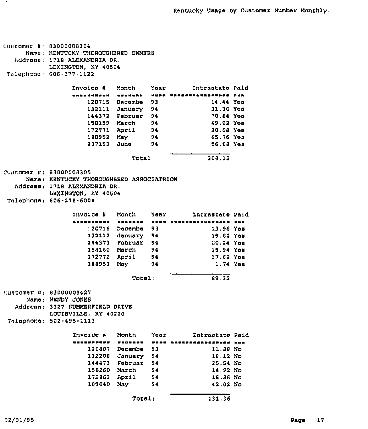```
customer 8:
83000008304
      Name:
KENTUCKY THOROUDHBRED OWNERS
   Address: 1718 AL<mark>EXANDRIA DR.</mark>
            LEXINGTON, KY 40504
 To le phono .
GQG-277-1122
                  Invoice 8 Month Year Zntraetatd paid
                      120715 Dacemb<mark>e</mark> 93
                                                        14.44
Yes
                      132111
January
94
                                                        31,30
Yes
                                                        70,84
Yde
                      144372
Pebruar
94
                      158159
March
94
                                                        49.02
Yes
                      172771
April
94
                                                        2D,DS
Yee
                                                        65,76
Yes
                      188952
                                        94
                              May
                                                        56,68
Yes
                      207153
                              Jund
                                        94
                                  Total. 308,12
Customer #: 8300000<mark>83</mark>05
      Name,
KENTUCKY THOROUGHBRED ASSOCIATRZON
   Address: 1718 ALEXANDRIA DR.
            LEXINGTON, KY 40504
 Telephone:
606-278-6004
                  Invoice # Month Year Intrastate Paid
                  <u>sshuaasenk esshuppi waan dududhummanneera unk</u>
                                                        13,96
Yds
                      120716 D<mark>ecembe</mark> 93
                      132112
January 94
                                                        19,82
Yds
                      144373
Pebruar 94
                                                        20,24
Yes
                      158160
March 94
                                                        15,94
Yes
                                                        17,62
Yes
                      172772
                              April 94
                                                         1,74
Yes
                      188953
                              Nay 94
                                  Total: 89,32
Customer #: 83000008427
     Name; WENDY JONES
  Address; 3327 SUMMERPZELD DRIVE
            LOUZSVZLLS, KY 40220
Telephone: 502-495- 1113
                  Invoice 8 Month Year Zntrastate Paid
                                                        11.88
No
                       120807
Decembe 93
                                                        18.12
No
                       132208
January 94
                                                        25. 54
No
                       144473
Pebruar 94
                       158260
March 94
                                                        14.92
No
                                                        18.88 No
                       172863
                              April 94
                       189040
                                                        42.02
No
                              Nay 94
                                  Total: 131,36
```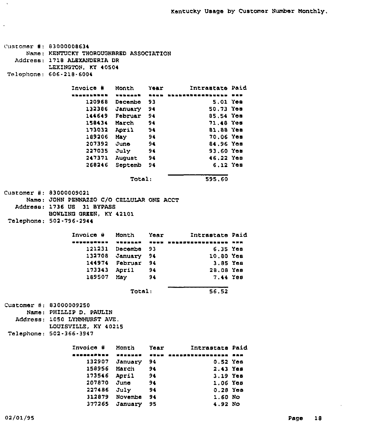```
Customer #: 83000008634
     Name: KENTUCKY THOROUGHBRED ASSOCIATION
  Address: 1718 ALEXANDERIA DR
           LEXINGTON, KY 40504
Telephone: 606-218-6004
                 Invoice ¹ Month Year Zntraetate Paid
                     120968
Decembe 93
                     132386
January 94
                     144649
Februar 94
                     158434
March 94
                     173032
April 94
                     189206
                     207392
                     227035
                     247371
August 94
                     268246
Septemb 94
                            May 94
                            June 94
                            July 94
                                             5.01 Yes
                                                  50,73 Yes
                                                  85,54 Yes
                                                  71.48 Yes
                                                  81,88 Yes
                                                  70.06 Yes
                                                  84.96 Yes
                                                  93.60 Yes
                                                  46.22 Yes
                                                   6.12 Yes
                               Total: 595.60
Customer #: 83000009021
     Name: JOHN PENNAZZO C/0 CELLULAR ONE ACCT
  Address. 1736 US 31 BYPASS
           BOWLING GREEN, KY 42101
Telephone: 502-796-2944
                 Invoice # Month Year Intrastate Paid
                     121231 Decembe 93
                     132708 January 9<mark>4</mark>
                     144974
Februar
94
                     173343
April
94
                     189507
May
94
                                                     6.35
Yes
                                                    10.80
Yea
                                                     3.85
Yea
                                                    28.08
Yes
                                                     7.44
Yes
                               Total; 56.52
Customer #: 83000009250
     Name: PHILLIP D. PAULIN
  Address: 1050 LYNNHURST AVE,
           LOUISVILLE, KY 40215
Telephone: 502-366-3947
                 Invoice # Month Year Mintrastate Paid
                 RXAAARSSE HABSBAR HUWK RAABSAYNAWHAAABA AAH
                     132907
January
94
                     158956
March
94
                     173546
April
94
                     207870
                     227486
                     312879
Novembs
94
                            June
                            July
                                    94
                                     94
                                                   0.52 Yes
                                                   2.43 Yss
                                                   3.19 Yes
                                                   1.06 Yes
                                                   0.28 Yes
                                                   1.60 No
```
377265 January 95

4.92 No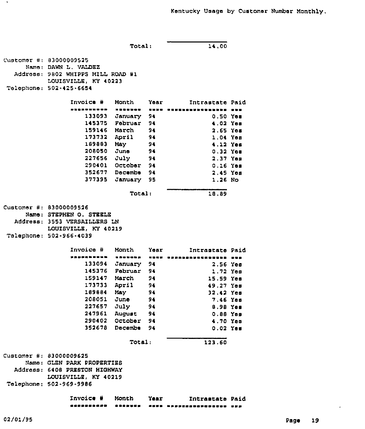Total: 14,00 Customer #: 83000009525 Name; DAWN L. VALDEZ Address: 9802 WHIPPS MILL ROAD #1 LOUISVILLE, KY 40213 Telephone: 502.425-6654 Year Invoi<mark>ce #</mark> Month Zntrastate Paid **..........** <sup>~</sup> <sup>~</sup> rr\r <sup>~</sup> \*\*\*\* \*\*\*\*\*\*\*\*\*\*\*\*\*\*\*\* \*\*\* 133093 JanUary 94 0.50 Ye<mark>s</mark> 1<mark>45375 Februar 94</mark> 4,02 Yes 159146 March 2,65 Yes 94 173732 April 1,04 Yes 94 189883 May 94 4, 12 Yss 208050 JUna 94 0,32 Yes 2,37 Yes 227656 July 94 0.16 Yes 290401 October 94 352677 Dscsslbe 94 2,45 Yes 377395 January 95 1,26 No Total; 18,89 Customer #: 83000009526 Name: STEPHEN O. STEELB Address: 3553 VRRSAZLLERS LN LOUZSVZLLE, KY 40219 Telephone; 502-966-4039 Invoice Month Year Intrastate Paid <sup>~</sup> <sup>~</sup> r <sup>~</sup> 133094 January 94 2,56 Yes 1.72 Yes 145376 Pebruar 94 159147 March 94 15.59 Yes 173733 April 94 49.27 Yes 189884 May 94 32.42 Yes 7.46 Yes 208051 June 94 8.98 Yes 227657 July 94 0.88 Yes 247961 AUgust 94 4.70 Yes 290402 October 94 0.<sup>02</sup> Yes 352678 Decembe 94 Total: 123.60 Customer #: 83000009625 Name: GLEN PARK PROPERTIES Address: 6408 PRESTON HIGHWAY LOUISVILLE, KY 40219 Telephone: 502-969-9986 Znvoice <sup>N</sup> Month Intrastate Paid

----------------........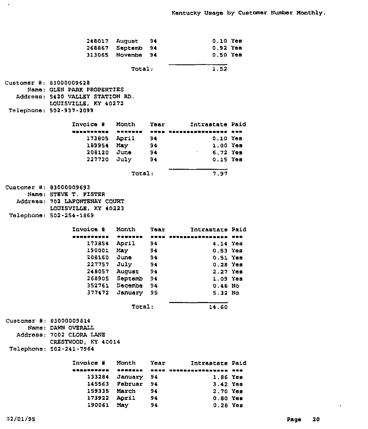| 248017 August<br>313065                                                                                                                      | 268867 Septemb<br>Novembe    | 94<br>94<br>94 | 0.10 Yes<br>$0.92$ Yes<br>0.50 Yes |  |
|----------------------------------------------------------------------------------------------------------------------------------------------|------------------------------|----------------|------------------------------------|--|
|                                                                                                                                              | Total:                       |                | 1,52                               |  |
| Customer #: 83000009628<br>Name: GLEN PARK PROPERTIES<br>Address: 5420 VALLEY STATION RD.<br>LOUISVILLE, KY 40272<br>Telephone: 502-937-2099 |                              |                |                                    |  |
| Invoice #                                                                                                                                    | Month                        | Year           | Intrastate Paid                    |  |
| i ka masa wa masa                                                                                                                            | <b><i><u>xxasaud</u></i></b> | ■ ■ ■ ■        | ,,,,,,,,,,,,,,,,,,,,,,             |  |
| 173805 April                                                                                                                                 |                              | 94             | $0.10$ Yes                         |  |
| 189954 May                                                                                                                                   |                              | 94             | $1.00$ Yes                         |  |
| 208120 June                                                                                                                                  |                              | 94             | 6.72 Yes                           |  |
| 227720 July                                                                                                                                  |                              | 94             | $0.15$ Yes                         |  |
|                                                                                                                                              | Total:                       |                | 7.97                               |  |
| Customer #: 83000009693                                                                                                                      |                              |                |                                    |  |
| Namo: STEVE T. FISTER                                                                                                                        |                              |                |                                    |  |
| Address: 702 LAFONTENAY COURT                                                                                                                |                              |                |                                    |  |
| LOUISVILLE, KY 40223                                                                                                                         |                              |                |                                    |  |
| Telephone: 502-254-1869                                                                                                                      |                              |                |                                    |  |
| Invoice #                                                                                                                                    | Month                        | Year           | Intrastate Paid                    |  |
| ------------                                                                                                                                 |                              | ----           | INNEKREARDERRO KRA                 |  |
| 173854                                                                                                                                       | April                        | 94             | 4.14 Yes                           |  |
| 190001                                                                                                                                       | May                          | 94             | 0.53 Yes                           |  |
| 208160                                                                                                                                       | June                         | 94             | 0.51 Yes                           |  |
| 227757                                                                                                                                       | July                         | 94             | $0.28$ Yes                         |  |
| 248057                                                                                                                                       | August                       | 94             | 2.27 Yes                           |  |
| 268905                                                                                                                                       | Septemb                      | 94             | 1.09 Yes                           |  |
|                                                                                                                                              | 352761 Decembe               | 94             | 0.46 No                            |  |
| 377472                                                                                                                                       | January                      | 95             | 5.32 No                            |  |
|                                                                                                                                              | Total:                       |                | 14.60                              |  |
| Customer #: 83000009814<br>Name: DAWN OVERALL<br>Address: 7002 CLORA LANE<br>CRESTWOOD, KY 40014<br>Telephone: 502-241-7964                  |                              |                |                                    |  |
| Invoice #                                                                                                                                    | Month                        | Year           | Intrastate Paid                    |  |
| ----------                                                                                                                                   | <b><i><u>ANABHAR</u></i></b> |                | NORE CREASESTREESES RES            |  |
| 133284                                                                                                                                       | January                      | 94             | 1.86 Yes                           |  |
|                                                                                                                                              | 145563 Februar               | 94             | 3.42 Yes                           |  |
| 159335 March                                                                                                                                 |                              | 94             | 2.70 Yes                           |  |
| 173922 April                                                                                                                                 |                              | 94             | 0.80 Yes                           |  |
|                                                                                                                                              |                              |                |                                    |  |
| 190061 May                                                                                                                                   |                              | 94             | $0.28$ Yes                         |  |

 $\langle \cdot, \cdot \rangle$ 

 $\mathcal{L}$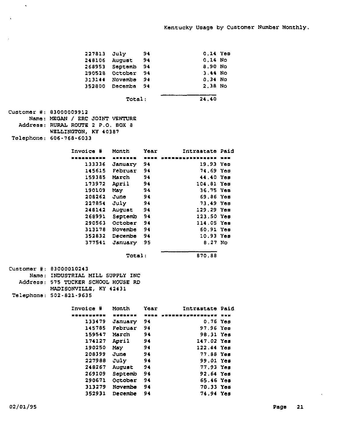|                                     | 227813 July       | -94  | 0.14 Yes                             |  |
|-------------------------------------|-------------------|------|--------------------------------------|--|
|                                     | 248106 August     | 94   | $0.14$ No                            |  |
|                                     | 268953 Septemb 94 |      | 8.90 No                              |  |
|                                     | 290528 October    | 94   | 3.44 No                              |  |
|                                     | 313144 Novembe 94 |      | 0.34 No                              |  |
|                                     | 352800 Decembe 94 |      | 2.38 No                              |  |
|                                     |                   |      |                                      |  |
|                                     | Total:            |      | 24,40                                |  |
| Customer #: 83000009912             |                   |      |                                      |  |
| Name: MEGAN / ERC JOINT VENTURE     |                   |      |                                      |  |
| Address: RURAL ROUTE 2 P.O. BOX 8   |                   |      |                                      |  |
| WELLINGTON, KY 40387                |                   |      |                                      |  |
| Telephone: 606-768-6033             |                   |      |                                      |  |
|                                     |                   |      |                                      |  |
| Invoice #                           | Month Year        |      | Intrastate Paid                      |  |
|                                     |                   |      | AUNONOO - GOOD WOONNAMARKERKAARD NAD |  |
|                                     | 133336 January 94 |      | 19.93 Yes                            |  |
|                                     | 145615 Februar 94 |      | 74.69 Yes                            |  |
|                                     | 159385 March      | 94   | 44.40 Yes                            |  |
|                                     | 173972 April 94   |      | 104.81 Yes                           |  |
| 190109                              | May 94            |      | 36.75 Yes                            |  |
| 208262                              | June              | 94   | 69.86 Yes                            |  |
| 227854 July                         |                   | 94   | 73.49 Yes                            |  |
| 248142                              | August            | 94   | 129.29 Yes                           |  |
|                                     | 268991 Septemb    | 94   | 123.50 Yes                           |  |
|                                     | 290563 October    | 94   | 114.05 Yes                           |  |
|                                     | 313178 Novembe 94 |      | 60.91 Yes                            |  |
|                                     | 352832 Decembe 94 |      | 10.93 Yes                            |  |
|                                     | 377541 January 95 |      | 8.27 N <sub>O</sub>                  |  |
|                                     | Total:            |      | 870.88                               |  |
|                                     |                   |      |                                      |  |
| Customer #: 83000010243             |                   |      |                                      |  |
| Name: INDUSTRIAL MILL SUPPLY INC    |                   |      |                                      |  |
| Address: 575 TUCKER SCHOOL HOUSE RD |                   |      |                                      |  |
| MADISONVILLE, KY 42431              |                   |      |                                      |  |
| Telephone: 502-821-9635             |                   |      |                                      |  |
| Invoice #                           | Month             | Ycar | Intrastate Paid                      |  |
| .                                   |                   |      | NULA WUUSUSUNUUSUUSU UNU             |  |
| 133479                              | January           | 94   | $0.76$ Yes                           |  |
| 145785                              | Februar           | 94   | 97.96 Yes                            |  |
| 159547                              | March             | 94   | 98.31 Yes                            |  |
| 174127                              | April             | 94   | 147.02 Yes                           |  |
| 190250                              | May               | 94   | 122.44 Үев                           |  |
| 208399                              | June              | 94   | 77.88 Yes                            |  |
| 227988                              | July              | 94   | 99.01 Yes                            |  |
| 248267                              | August            | 94   | 77.93 Yes                            |  |
| 269109                              | Septemb           | 94   | 92.64 Үев                            |  |
| 290671                              | October           | 94   | 65.46 Үев                            |  |
| 313279                              | Novembe           | 94   | 70.33 Yes                            |  |
| 352931                              | <b>Decembe</b>    | 94   | 74.94 Yes                            |  |
|                                     |                   |      |                                      |  |

 $\sim$   $\sim$ 

 $\sim$ 

 $\epsilon$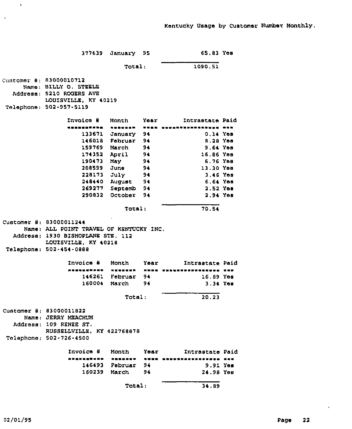| 377639                                                                                                                          | January 95        |      | 65.83 Yem                          |  |
|---------------------------------------------------------------------------------------------------------------------------------|-------------------|------|------------------------------------|--|
|                                                                                                                                 | Total:            |      | 1090.51                            |  |
| Cuntomer #: 83000010712<br>Name: BILLY O. STEELE<br>Address: 5210 ROGERS AVE<br>LOUISVILLE, KY 40219                            |                   |      |                                    |  |
| Telephone: 502-957-5119                                                                                                         |                   |      |                                    |  |
| Invoice #                                                                                                                       | Month             | Yoar | Intrastate Paid                    |  |
| <u></u><br>                                                                                                                     | -------           |      | THE BROSSERSSERSER ARE             |  |
| 133671                                                                                                                          | January 94        |      | $0.14$ Yes                         |  |
| 146018                                                                                                                          | Februar 94        |      | 8.28 Yes                           |  |
|                                                                                                                                 | 159769 March      | 94   | 9.64 Yes                           |  |
|                                                                                                                                 | 174352 April      | 94   | 16.86 Yes                          |  |
| 190473 May                                                                                                                      |                   | 94   | 6.76 Yes                           |  |
| 208599 June                                                                                                                     |                   | - 94 | 13.30 Yes                          |  |
|                                                                                                                                 | 228173 July 94    |      | $3.46$ Yes                         |  |
|                                                                                                                                 | 248440 August     | 94   | 6.64 Yos                           |  |
|                                                                                                                                 | 269277 Septemb 94 |      | $2.52$ Yes                         |  |
| 290832                                                                                                                          | October           | 94   | 2.94 Yes                           |  |
|                                                                                                                                 | Total:            |      | 70.54                              |  |
| Customer #: 83000011244<br>Name: ALL POINT TRAVEL OF KENTUCKY INC.<br>Address: 1930 BISHOPLANE STE. 112<br>LOUISVILLE, KY 40218 |                   |      |                                    |  |
| Telephone: 502-454-0888                                                                                                         |                   |      |                                    |  |
| Invoice #                                                                                                                       | Month             | Year | Intrastate Paid                    |  |
| -----------                                                                                                                     |                   |      | - HNNN MNNNNNNNNNNNNNNNNN BAR      |  |
|                                                                                                                                 | 146261 Februar 94 |      | $16.89$ Yes                        |  |
| 160004                                                                                                                          | March 94          |      | 3.34 Yes                           |  |
|                                                                                                                                 | 20.23             |      |                                    |  |
| Customer #: 83000011822<br>Name: JERRY MEACHUM<br>Address: 109 RENEE ST.<br>RUSSELLVILLE, KY 422768878                          |                   |      |                                    |  |
| Telephone: 502-726-4500                                                                                                         |                   |      |                                    |  |
| Invoice #                                                                                                                       | Month Year        |      | Intrastate Paid                    |  |
| -----------                                                                                                                     |                   |      | ACCUNOS - ANGE ESERPHAVELLEDEN VAR |  |
|                                                                                                                                 | 146493 Februar 94 |      | 9.91 Yes                           |  |
|                                                                                                                                 | 160239 March      | 94   | 24.98 Yes                          |  |
|                                                                                                                                 | Total:            |      | 34.89                              |  |

 $\sim$   $\sim$ 

 $\mathbf{v}$ 

 $\alpha$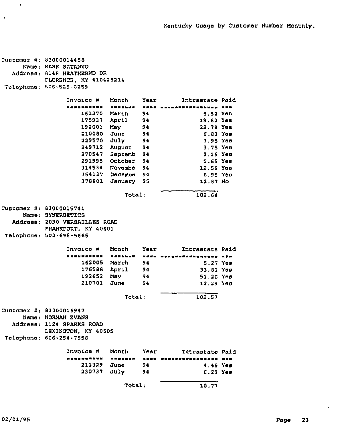```
Customor #: 83000014458
     Name: MARK SZTANYO
  Address: 8148 HEATHERWD DR
           FLORENCE, KY 410428214
Telephone: 606-525-0259
                 Invoice
                     161370
March
94
                     175937 April 9<mark>4</mark>
                     192001
                     210080
                     229570
                     249712
AUgUSt
94
                     270547
Septemb
94
                     291995
October
94
                     314534
Novembe
94
                     354137
Decembe
94
                     378801
January
95
                            Manth
                 « ~ « ~ \
                            May
                            June
                            July
                                    Year
                                     94
                                     94
                                     94
                                                     5.52
Yee
                                                    19.62 Yem
                                                    22.78
Yaa
                                                     6.83
Yee
                                                     3.95
Yes
                                                     3.75
Yee
                                                     2.16 Yes
                                                     5.65
Yos
                                                    12,56
Yes
                                                     6,95
Yes
                                                    12, 87
No
                                              Intrastate Paid
                                Total: 102.64
Customer #: 83000015741
     Name; SYNERQETICS
  Address: 2090 VERSAILLES ROAD
           FRANKFORT, KY 40601
Telephone: 502.695-5665
                 Invoice #
                 ~ «««« ~ « ~ ««
~ «« ««««««««««««««« ~ ««
                     162005 M<mark>ar</mark>ch
                     176588
April
94
                     192652
May
                     210701
June
94
                            Month Year Intrastate Paid
                                    94
                                    94
                                                    5.27 Yes
                                                   33,81 Yes
                                                   51.20 Yes
                                                   12.29 Yes
                                Total: 102,57
Customer #: 83000016947
     Name: NORMAN EVANS
  Address: 1124 SPARKS ROAD
           LEXINGTON, KY 40505
Telephane: 606-254-7558
                 Invoice ¹ Month Year Zntrastste Paid
                 «««««««««
                     211329
June
                     230737
July
                                    94
                                    94
                                                    4.48 Yes
                                                    6.29 Yes
                                Total: 10.77
```
 $\bullet$ 

 $\lambda$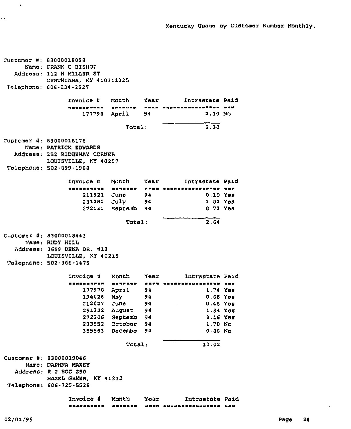Customer #: 83000018098 Name: PRANK C BISHOP Address: 112 <sup>N</sup> MILLER ST. CYNTHIANA, KY 410311325 Telephone: 606-234-2927 Invoice # Month Year Intrastate Paid<br>nasasswee weesse saas sipeessessesses waw 177798 April 94 2.30 No Total: 2.30  $Customex$  #: 83000018176 Name; PATRICK EDWARDS Address: 252 RIDGEWAY CORNER LOUISVILLE, KY 40207 Telephone: 502.899-198S Invoice ¹ Month Year Intrastate Paid 211921 June 231282 July 272131 Septemb 94 94 94 0.10 Yes 1.<sup>82</sup> Yes 0,72 Yes Total: 2,64  $Customer$  #: 83000018443 Name: RUDY HILL Address: 3659 DENA DR. #12 LOUISVILLE, KY 40215 Telephone: 502.366-1475 Invoice ¹ Month Year Intrastate Paid 177978 194026 212027 251322 272206 Septemb 94 293552 october 94 355563 Decembe 94 April 94 Msy 94 June 94 August 94 1.<sup>74</sup> 0.68 0.46 1.<sup>34</sup> 3.16 Yes 1.78 No 0.86 No Yes Yes Yes Yes Total: 10,02  $C$ ustomer #: 83000019046 Name: DAPHNA MAXEY Address: R 2 BOC 250 HAZEL GRBEN, KY 41332 Telephone: 606-725-5528 Invoice ¹ Month Year Intrastate Paid

 $\mathbf{v}$ 

 $\ddot{\phantom{a}}$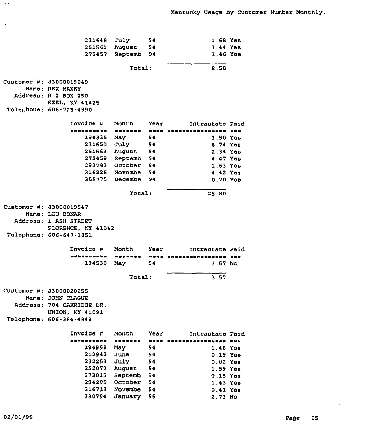| 231648                    | July           | 94        | 1.68 Yes                        |                |
|---------------------------|----------------|-----------|---------------------------------|----------------|
| 251561                    | August         | 94        | 3.44 Yes                        |                |
| 272457                    | Septemb        | 94        | $3.46$ Yea                      |                |
|                           | Total:         |           | 8.58                            |                |
|                           |                |           |                                 |                |
| Customer #: 83000019049   |                |           |                                 |                |
| Name: REX MAXEY           |                |           |                                 |                |
| Address: R 2 BOX 250      |                |           |                                 |                |
| <b>EZEL, KY 41425</b>     |                |           |                                 |                |
| Telephone: 606-725-4590   |                |           |                                 |                |
| Invoice #                 | Month          | Year      | Intrastate Paid                 |                |
| ,,,,,,,,,,,               | -------        | 医复制量      | ,,,,,,,,,,,,,,,,,,,,            |                |
| 194335 May                |                | 94        | $3.50$ Yes                      |                |
| 231650 July               |                | 94        | 8.74 Yes                        |                |
|                           | 251563 August  | 94        | 2.34 Yes                        |                |
|                           | 272459 Septemb | 94        | 4.47 Yes                        |                |
|                           | 293783 October | 94        | $1.63$ Yes                      |                |
|                           | 316226 Novembe | 94        | 4.42 Yes                        |                |
|                           | 355775 Decembe | 94        | $0.70$ Yes                      |                |
|                           |                |           |                                 |                |
|                           | Total:         |           | 25.80                           |                |
| Customer #: 83000019547   |                |           |                                 |                |
| Name: LOU BONAR           |                |           |                                 |                |
| Address: 1 ASH STREET     |                |           |                                 |                |
| FLORENCE, KY 41042        |                |           |                                 |                |
| Telephone: 606-647-1851   |                |           |                                 |                |
| Invoice #                 | Month          | Year      | Intrastate Paid                 |                |
| ------<br>医氯丙             | 医器<br>-----    | ■ 毎 毎 酉 ■ | M # # # # # # # # # # # # # # # | $\blacksquare$ |
| 194530                    | May            | 94        | 3.57 No                         |                |
|                           | Total:         |           | 3.57                            |                |
|                           |                |           |                                 |                |
| Customer #: 83000020255   |                |           |                                 |                |
| Name: JOHN CLAGUE         |                |           |                                 |                |
| Address: 704 OAKRIDGE DR. |                |           |                                 |                |
| UNION, KY 41091           |                |           |                                 |                |
| Telephone: 606-384-4849   |                |           |                                 |                |
| Invoice #                 | Month          | Year      | Intrastate Paid                 |                |
| . <b>.</b>                | -------        |           | -----------                     | 医胃炎            |
| 194958                    | May            | 94        | $1.46$ Yes                      |                |
| 212942                    | June           | 94        | 0.19 Yes                        |                |
| 232253                    | July           | 94        | $0.02$ Yes                      |                |
| 252079                    | August         | 94        | 1.59 Yes                        |                |
|                           |                |           |                                 |                |
| 273015                    | Septemb        | 94        | 0.15 Yes                        |                |
| 294295                    | October        | 94        | 1.43 Yes                        |                |

380794 January 95

 $\sim$   $\sim$ 

 $\sim$ 

 $\bullet$ 

2.73 No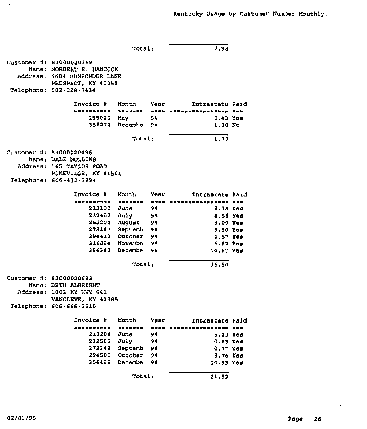Total  $\overline{7,98}$ Customer #: 83000020369 Name: NORBERT E. HANCOCK Address: 6604 GUNPOWDER LANE PROSPECT, KY 40059 Telephone: 502-228-7434 Invoice # Month Year Intrastate Paid <u>~ - - - - - - - -</u> 195026 May 94 356272 Decembe 94 0,43 Yes 1,30 No Total: 1,73  $Currenter$   $#: 83000020496$ Name; DALE MUZLZNS Addreee: 165 TAY1OR ROAD PIKEVILLE. KY 41501 Telephone: 606-432.3294 Invoice # en als de het het het die die kommunis 213100 June 232402 July 252204 Augu<mark>s</mark> 273147 Septemb 94 294412 October 94 316824 Novembe 94 356342 Decembe 94 94 94 94 Month Ye<mark>ar Intrastate Pai</mark>d eweweeewswewewwe 2,38 Yes 4.56 Yes 3,00 Yee 3.50 Yee 1.57 Yes 6,82 Yee 14.67 Yes Total: 36.50 Customer #: 83000020683 Name: BETH ALBRZGHT Address: 1003 KY HWY 541 VANCLEVE, KY 41385 Telephone: 606-666-2510 Invoice ¹ Month Year Intrastate Paid eranden sere saangosawaan oma 213204 232505 July 273248 Septemb 94 294505 October 94 356426 Decembe 94 June 94 94 5,23 Yee 0,83 Yes 0,77 Yas 3.76 Yes 10.93 Yes Total: 21.52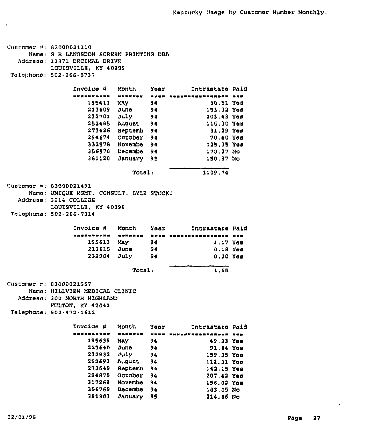Customer #: 83000021110 Name: S R LANGSDON SCREEN PRINTING DBA Address: 11371 DECIMAL DRIVE LOUISVILLE, KY 40299 Telephone: 502.266-5737 Invoice # Month Year Mintrastate Paid ~ \$ \$~ 30.51 Yoo 195413 94 May 213409 153,32 Yos June 94 232701 203,43 Yea JUly 94 252405 AUgUat 94 116,3D Yos 273426 Septemb 94 01.29 YOS 294674 Octaber 94 70, <sup>~</sup> 0 Yas 3325'l8 Novombo 94 125,35 Yos 356570 Decembe 94 170.27 Na 381120 January 95 150,07 No Total: 1109.74 Customer #: 83000021491 Name: UNIQ<mark>UE MGMT, CONSULT. LYLE STUCKI</mark> Address: 3214 COLLEGE LOUISVILLE, KY 40299 Talephane: 502"266.7314 Invoice # Month Year Intrastate Paid \$~\$\$ \$ \$\$ \$ \$\$ ~ \$ \$ 195613 May 1,17 Yoa 94 0.18 Y<mark>os</mark> 94 213615 June 232904 July 0.20 Yes 94 Total . 1.55 Customer #: 83000021557 Name: HILLVIEW MEDICAL CLINIC Address: 300 NORTH HIGH<mark>LA</mark>N FULTON, KY 42041 Telephane: 502-472-1612 Invoice # Month Year - Intrastate Paid 4 **\* \* \* \* \* \* \* \* \* \* \* \* \* \* \* \*** \* 195639 May 94 49.33 Yes 91.<sup>04</sup> Yos 213640 June 94 159.35 Yes 232932 July 94 111.31 Yos 252693 August 94 273649 SePtemb 94 142.15 Yos 294075 October 94 207,42 Yee 156.02 Yes 317269 Novembe 94 356769 Decembe 94 103.05 No 381303 January 95 214.06 No

 $\sim$   $\sim$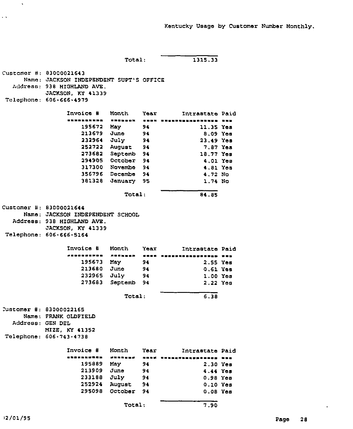```
Total: 1315.33Customer
83000021643
     Name:
JACKSON INDEPENDENT SUPT'S OFFICE
  Address:
938 HIGHLAND AVE.
Telephone:
606-666-4979
           JACKSON, KY 41339
                Invoice
                 ~ 1111 1
                            Month
                           TARLADN - EASH ANGHANALNASHANNEN NHA
                                    Year Intrastate Paid
                    195672
May
                    213679
June
                    232964
July
94
                    252722 August 9<mark>4</mark>
                    273682 Septemb 94
                    294905 October 94
                    317300
Novembe
94
                    356796
Decembe
94
                    381328
January
95
                                    94
                                   94
                                                    11,35
Yes
                                                     8.09
Yee
                                                    23.49
Yes
                                                     7,87
Yes
                                                    18.77
Yes
                                                     4.01
Yes
                                                     4.81
Yes
                                                     4,72
No
                                                     1.74
No
                                Total: 84.85
customer #: 83000021644
     Name: JACKSON INDEPENDENT SCHOOL
  Address:
938 HIGHLAND AVE.
Telephone:
606-666-5164
           JACKSON, KY 41339
                Invoice # Month Year Intrastate Paid
                1~ 1~ 1~ 1 ~ 111 1~ 111111~ 1111111~ 1
                    195673
May
                    213680
June
                    232965
July
                    273683
Septemb
94
                                    94
                                    94
                                    94
                                                    2.55 Yes
                                                    0,61 Yes
                                                    1.00 Yss
                                                    2.22 Yes
                                Total: 6.38
Tustomer #: 83000022165
     Name: FRANK OLDFIELD
  Address: GEN DEL
           MIZE, KY 41352
Telephone: 606-743-4738
                Invoice # Month Year Intrastate Paid
                    195889
May
                    213909
June
                    233188
July
                    252924 Augu<mark>s</mark>
                    295098
October
94
                ===================
                                    94
                                    94
                                    94
                                    94
                                    3334 **************** ***
                                                    2.30 Yes
                                                   4.44 Yes
                                                    0.98 Yes
                                                    0.10 Yes
                                                    0.08 Yes
                               Total: 7.90
```
 $\sim$   $\lambda$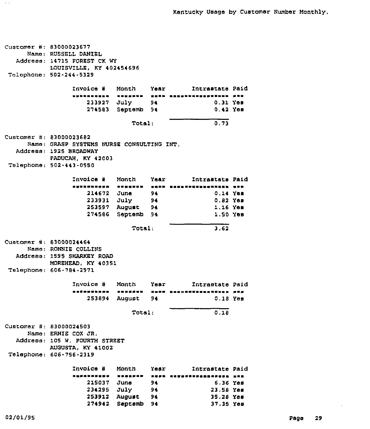customer #: 83000023677 Name: RUSSELL DANIEL Address: 14715 FOREST CK WY Telephone: 502-244.5329 LOUZSVZLLE, KY 402454696 Invoice # Month Year Intrastate Paid<br>www.waasea waasee mees meestessessesses saa 233927 July 94 274583 Septemb 94 0.31 Yes 0,42 Yea Total: 0.73 edition of the B1000023682 Name: GRASP SYSTEMS NURSE CONSULTING ZNT. Address: 1925 BROADWAY Telephone; 502.443-0550 PADUCAH, KY 42003 Invoice # Month Year - Intrastate Paid ny460wpenn wwggwnn punn 214672 June 94 Q,14 Yes 233931 253597 274586 Septemb 94 July August 94 94  $0.82$  Yes 1.16 Yee 1,50 Yes Total: 3,62 Customer #: 83000024464 Name: RONNIE COLLINS Address: 1595 SHARKEY ROAD MOREHEAD, KY 40351 Telephone: 606-784-2971 Invoice # Month Year Intrastate Paid ansvetbana neaysub wede hessannetbanasses pop 253894 August 94 0.18 Yes Total: 0.18 Customer #: 83000024503 Name: ERNIE COX JR. Address: 105 W. POURTH STREET AUGUSTA, KY 41002 Telephone: 606-756-2319 Invoice # Month Year + Intrastate Paid sufabonuby wynafan saya anyafinnanafafuna san 215037 June 94 234295 July 94 253912 August 94 274942 Septemb 94 6.36 Yes 23,58 Yes 35,28 Yes 37,35 Yes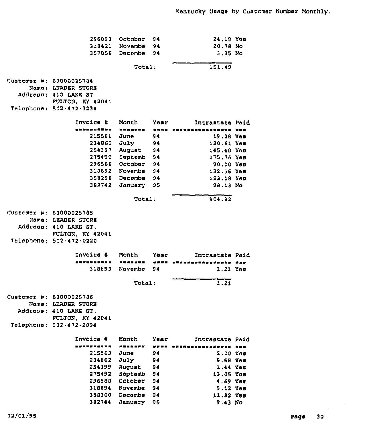| 296093                  | October        | 94                                                                 | 24.19 You                 |  |
|-------------------------|----------------|--------------------------------------------------------------------|---------------------------|--|
| 318421                  | Novembe        | 94                                                                 | 20.78 No                  |  |
| 357856                  | Decembe        | 94                                                                 | $3.95$ No.                |  |
|                         | Total:         |                                                                    | 151.49                    |  |
| Customer #: 83000025784 |                |                                                                    |                           |  |
| Name: LEADER STORE      |                |                                                                    |                           |  |
| Address: 410 LAKE ST.   |                |                                                                    |                           |  |
| FULTON, KY 42041        |                |                                                                    |                           |  |
| Telephone: 502-472-3234 |                |                                                                    |                           |  |
| Invoice #               | Month          | Yoar                                                               | Intrastate Paid           |  |
| .                       |                | $\blacksquare \blacksquare \blacksquare \blacksquare \blacksquare$ | <b>*************</b>      |  |
| 215561                  | June           | 94                                                                 | 19.28 Yes                 |  |
| 234860                  | July           | 94                                                                 | 120.61 Yes                |  |
| 254397                  | August         | 94                                                                 | 145.40 Yon                |  |
| 275490                  | Septemb        | 94                                                                 | 175.76 You                |  |
| 296586                  | October        | 94                                                                 | 90.00 Yes                 |  |
| 313892                  | Novembe        | 94                                                                 | 132.56 You                |  |
| 358298                  | Decembe        | 94                                                                 | 123.18 Yes                |  |
| 382742                  | January        | 95                                                                 | 98.13 No                  |  |
|                         | Total:         |                                                                    | 904.92                    |  |
| Customer #: 63000025785 |                |                                                                    |                           |  |
| Name: LEADER STORE      |                |                                                                    |                           |  |
| Address: 410 LAKE ST.   |                |                                                                    |                           |  |
| FULTON, KY 42041        |                |                                                                    |                           |  |
| Telephone: 502-472-0220 |                |                                                                    |                           |  |
| Invoice #               | Month          | Year                                                               | Intrastate Paid           |  |
| -----------             | -------        |                                                                    | 张师琳琳 医制制器测量管器测量医调整管理器 的复数 |  |
| 310893                  | Novembe        | 94                                                                 | $1.21$ You                |  |
|                         | Total:         |                                                                    | 1.21                      |  |
| Customer #: 83000025786 |                |                                                                    |                           |  |
| Name: LEADER STORE      |                |                                                                    |                           |  |
| Address: 410 LAKE ST.   |                |                                                                    |                           |  |
| FULTON, KY 42041        |                |                                                                    |                           |  |
| Telephone: 502-472-2894 |                |                                                                    |                           |  |
| Invoice #               | Month          | Year                                                               | Intrastate Paid           |  |
| ----------              | <b>*******</b> |                                                                    | IPROSYDNSYSSEN HAD        |  |
| 215563                  | June           | 96                                                                 | 2.20 Yes                  |  |
| 234862                  | July           | 94                                                                 | 9.58 Yes                  |  |
| 254399                  | August         | 94                                                                 | 1.44 Yes                  |  |
| 275492                  | Septemb        | 94                                                                 | 13.05 Yos                 |  |
| 296588                  | October        | 94                                                                 | 4.69 Yes                  |  |
| 318894                  | Novembe        | 94                                                                 | 9.12 Yes                  |  |
| 358300                  | Decembe        | 94                                                                 | 11.82 Yes                 |  |
| 382744                  | January        | 95                                                                 | $9.43$ No.                |  |

÷.

 $\mathbb{R}^2$ 

 $\sim 10^{-11}$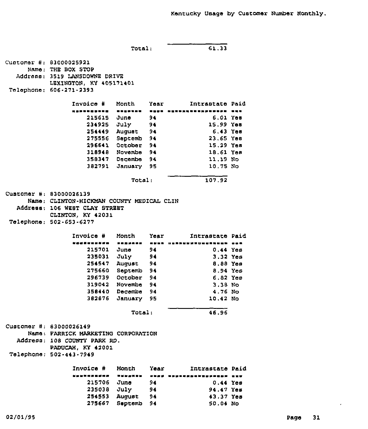```
Total: 61,33
Customer #: 83000025921
     Name: THE SOX STOP
  Address: 3519 LANSDOWNE DRIVE
           LEXZNOTON, KY 405171401
Telephane: 606-271-2393
                Znvoice ¹ Month Year Intrastate Paid
                    215615
June
94
                    234925
July
94
                    254449
August
Be
                    275556
Septemb
94
                    '296641
October
94
                    318948
Novembe
94
                    358347
De combe
94
                    382791
January
95
                                                6.01 Yes
                                                 15.99 Yes
                                                  6.e3 Yes
                                                 23.65 Yea
                                                 15.29 Yss
                                                 18.61 Yes
                                                 11.19 No
                                                 10,75 No
                               Total: 107.92
Cupromer #: 83000026139
     Name: CLINTON-HICKMAN COUNTY MEDICAL CLIN
  Address: 106 NEST CLAY STREET
           CLINTON, KY 42031
Telephone; 502-653-6277
                Invoice # Month Year Mintrastate Paid
                esssweaere
~ I 11%%~
swee
I ~ SWSNSIWISWIWW
                    215701
June
94
0.44
Yes
                    235031
July
                    254547
August
94
                    275660
Septemb
94
                    296739
October
94
                    319042
Novembe
94
                    358440
Decembe
94
                    382876
January
95
                                  94
                                                   3.32 Yes
                                                   8.88
Yes
                                                   8.94
Yes
                                                   6.82
Yes
                                                   3.38 Nc
                                                   4.76
No
                                                  10.42 No
                               Total: 46.96
Customer #: 83000026149
     Name: FARRICK MARKETING CORPORATION
  Address: 108 COUNTY PARK RD,
           PADUCAH, KY 42001
 Telephone: 502-443-7949
                Invoice # Month Year 1ntrastate Paid
                    215706 June 94
                    235038 July 94
                    254553 August 94
                    275667 S<mark>eptemb 94</mark>
                KOSANARUNA WESAREE DUAD WANKARDNERKAREE WED
                                                 0.44 Yee
                                                94.47 Yes
                                                 43,37 Yes
                                                 50.04 No
```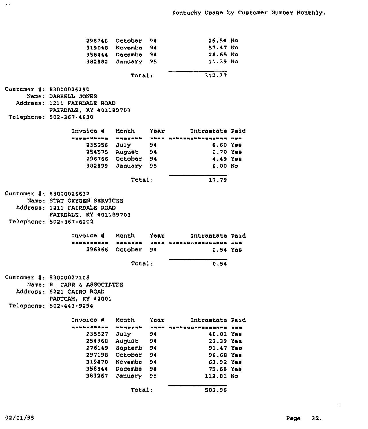|                             | 296746 October 94 |    | 26.54 No                                   |  |
|-----------------------------|-------------------|----|--------------------------------------------|--|
|                             | 319048 Novembe 94 |    | 57.47 No                                   |  |
|                             | 358444 Decembe 94 |    | 20.65 No                                   |  |
|                             | 382882 January 95 |    | 11.39 No                                   |  |
|                             |                   |    |                                            |  |
|                             | Total:            |    | 312.37                                     |  |
| Customer #: 83000026190     |                   |    |                                            |  |
| Name: DARRELL JONES         |                   |    |                                            |  |
| Address: 1211 FAIRDALE ROAD |                   |    |                                            |  |
| FAIRDALE, KY 401189703      |                   |    |                                            |  |
| Telephone: 502-367-4630     |                   |    |                                            |  |
|                             |                   |    |                                            |  |
| Invoice # Month Year        |                   |    | Intrastate Paid                            |  |
|                             |                   |    | nyanakana, anasana nann-anasansananana ova |  |
|                             | 235056 July 94    |    | $6.60$ Yem                                 |  |
|                             | 254575 August 94  |    | 0.70 Yes                                   |  |
|                             | 296766 October 94 |    | 4.49 Yes                                   |  |
|                             | 382899 January 95 |    | 6.00 N <sub>0</sub>                        |  |
|                             | Total:            |    | 17.79                                      |  |
|                             |                   |    |                                            |  |
| Customer #: 83000026632     |                   |    |                                            |  |
| Name: STAT OXYGEN SERVICES  |                   |    |                                            |  |
| Address: 1211 FAIRDALE ROAD |                   |    |                                            |  |
| FAIRDALE, KY 401189703      |                   |    |                                            |  |
| Telephone: 502-367-6202     |                   |    |                                            |  |
| Invoice # Month Year        |                   |    | Intrastate Paid                            |  |
|                             |                   |    | nanohhusan manghan pook nahohuonnahan      |  |
|                             | 296966 October 94 |    | $0.54$ Yes                                 |  |
|                             | 0.54              |    |                                            |  |
|                             |                   |    |                                            |  |
| Customer #: 83000027108     |                   |    |                                            |  |
| Name: R. CARR & ASSOCIATES  |                   |    |                                            |  |
| Address: 6221 CAIRO ROAD    |                   |    |                                            |  |
| PADUCAH, KY 42001           |                   |    |                                            |  |
| Telephone: 502-443-9294     |                   |    |                                            |  |
| Invoice # Month Year        |                   |    | Intrastate Paid                            |  |
| ----------                  | -------           |    | SANA AFONBOORPNANAAPA NAB                  |  |
| 235527                      | July              | 94 | 40.01 Yes                                  |  |
| 254968                      | August            | 94 | 22.39 Yes                                  |  |
| 276149                      | Septemb           | 94 | 91.47 Yes                                  |  |
| 297198                      | October           | 94 | 96.68 Yes                                  |  |
| 319470                      | Novembe           | 94 | 63.92 Yes                                  |  |
| 358844                      | Decembe           | 94 | 75.68 Yes                                  |  |
| 383267                      | January           | 95 | 112.81 No                                  |  |
|                             |                   |    |                                            |  |
|                             | Total:            |    | 502.96                                     |  |

 $\Delta\Delta$ 

 $\bullet$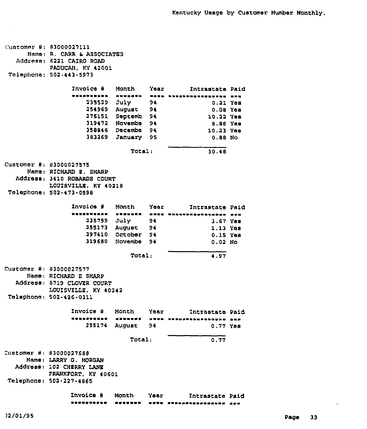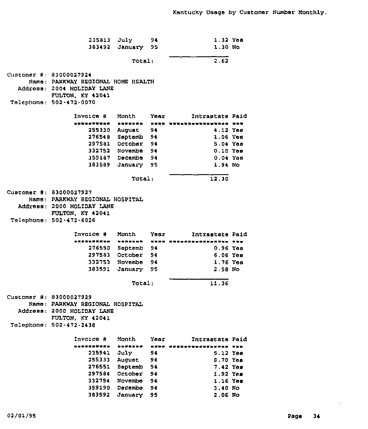235813 July 94 383492 January 95  $1,32$  Yes<br> $1,30$  No Total: 2,62 Customer 83000027924 Nemo: PARKWAY REGIONAL HOME HEALTH Address: 2004 HOLIDAY LANE Telephone: 502-472-0070 FULTON, KY 42041 Invoice Month Year Intrastate Paid aadaa aassada aan aanosaayasayasay 255330 August 94 276548 Septemb 94 297581 October 94 332752 Novembe 94 359187 Decembe 94 383589 January 95 4.12 Yos 1.06 Yoe 5,04 Yes 0.10 Yes 0.04 Yoe 1.<sup>94</sup> No Total: 12.30 customer #: 83000027927 Nemo: PARKWAY REGIONAL HOSPITAL Address: 2000 HOLIDAY LANE Telephone: 502-472-6026 PULTON, KY 42041 Invoice # Month Year Intrastate Paid aaaa aaaaaaaaa <sup>~</sup> aaaaaa aaa 276550 Ssptemb 94 0.96 Yes 297583 October 94 332753 Novemb<mark>e 94</mark> 383591 January 95 6.06 Yes 1.76 Yee 2.58 No Total: 11.36 Customer #: 83000027929 Name: PARKWAY REGIONAL HOSPITAL Address: 2000 HOLZDAY LANE FULTON, KY 42041 Telephone: 502-472-2438 Invoice # Month Year Mintrastate Paid 非非排泄症疫症发育 ~ 有某某物非常 ~ 鼻孢菌素 非非影响化自觉显电波电影电视学 235941 July 94 255333 August 94 276551 Saptemb 9<mark>4</mark> 297584 332754 359190 383592 October'ovelllbe Decembe Januar 94 94 94 95 5.12 Yes 8.70 Yes 7.42 Yes 1.92 Yes 1.16 Yes 3.40 No 2.06 No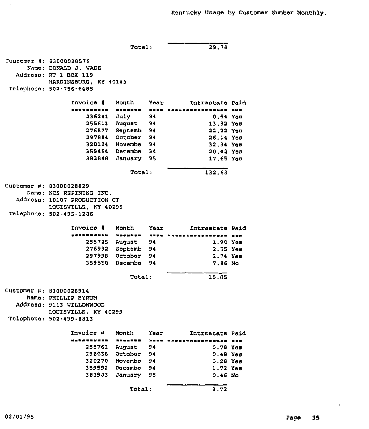Total: 29.78  $C$ ustomer #: 83000028576 Name: DONALD J. WADE Address: RT 1 BOX 119 HARDINSBURG, KY 40143 Telephone: 502-756-6485 Invoice # Month Year Intrastate Paid 236241 July 94 255611 August 94 276877 Septemb 94 297884 October 94 320124 Novembe 94 359454 Dscambe 94 383848 January 95 0.54 Yes 13.32 Yes 22.22 Yes 26.14 Yss 32.34 Yes 20,42 Yes 17.65 Yem ~ i Total: 132.63 Customer #: 83000028829 Name: NCS REFINING INC. Address: 10107 PRODUCTION CT LOUISVILLE, KY 40299 Telephone: 502-495-1286 Invoice ¹ Month Year Intrastate Paid 255725 August 94 276992 Septemb 94 297998 October 94 359558 Decembe 94 1,90 Yes 2.55 Yes 2,74 Yes 7.86 No Total: 15.05  $Customer$  #: 83000028914 Name: PHILLIP BYRUM Address: 9113 WILLOWWOOD LOUISVILLE, XY 40299 Telephone: 502-499-8813 Invoice # Month Year ithuantaan angalan kann hayaathiishahaan nuu 255761 August 94 298036 October 94 320270 Novembe 94 359592 Decembe 94 383983 January 95 Zntrastats Paid 0.78 Yes 0.48 Yes 0.28 Yes 1.72 Yes 0.46 No Total: 3.72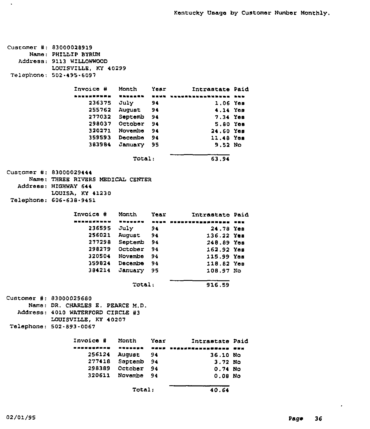| Customer #: 83000028919<br>Name: PHILLIP BYRUM<br>Address: 9113 WILLOWWOOD<br>LOUISVILLE, KY 40299<br>Telephone: 502-495-6097 |                                   |      |                                    |  |  |  |
|-------------------------------------------------------------------------------------------------------------------------------|-----------------------------------|------|------------------------------------|--|--|--|
| Invoice #                                                                                                                     | Month                             |      | Year<br>Intrastate Paid            |  |  |  |
| ----------                                                                                                                    | <b>ENERGER</b>                    | 東京城県 | <u>understandiseen run</u>         |  |  |  |
| 236375                                                                                                                        | July 94                           |      | $1.06$ Yes                         |  |  |  |
|                                                                                                                               | 255762 August 94                  |      | 4.14 Yes                           |  |  |  |
|                                                                                                                               | 277032 Septemb 94                 |      | 7.34 Yes                           |  |  |  |
|                                                                                                                               | 298037 October 94                 |      | 5.80 Yes                           |  |  |  |
|                                                                                                                               | 320271 Novembe 94                 |      | 24.60 Yes                          |  |  |  |
|                                                                                                                               | 359593 Decembe 94                 |      | 11.48 Yes                          |  |  |  |
|                                                                                                                               | 383984 January 95                 |      | 9.52 No                            |  |  |  |
|                                                                                                                               | <b>Total:</b>                     |      | 63.94                              |  |  |  |
| Customer #: 83000029444<br>Address: HIGHWAY 644                                                                               | Name: THREE RIVERS MEDICAL CENTER |      |                                    |  |  |  |
| LOUISA, KY 41230                                                                                                              |                                   |      |                                    |  |  |  |
| Telephone: 606-638-9451                                                                                                       |                                   |      |                                    |  |  |  |
| Invoice # Month Year                                                                                                          |                                   |      | Intrastate Paid                    |  |  |  |
|                                                                                                                               |                                   |      | ENSSKAN – ENKE MESSFESHMANNOMK VAR |  |  |  |
|                                                                                                                               | 236595 July 94                    |      | 24.78 Yes                          |  |  |  |
|                                                                                                                               | 256021 August 94                  |      | 136.22 Yes                         |  |  |  |
|                                                                                                                               | 277298 Septemb 94                 |      | 248.89 Yes                         |  |  |  |
|                                                                                                                               | 298279 October 94                 |      | 162.92 Yes                         |  |  |  |
|                                                                                                                               | 320504 Novambe 94                 |      | 115.99 Yes                         |  |  |  |
|                                                                                                                               | 359824 Decembe 94                 |      | 118.82 Yes                         |  |  |  |
| 384214                                                                                                                        | January 95                        |      | 108.97 No                          |  |  |  |
|                                                                                                                               | Total:                            |      | 916.59                             |  |  |  |
| Customer #: 83000029680                                                                                                       |                                   |      |                                    |  |  |  |
| Name: DR. CHARLES E. PEARCE M.D.                                                                                              |                                   |      |                                    |  |  |  |
| Address: 4010 WATERFORD CIRCLE #3                                                                                             |                                   |      |                                    |  |  |  |
| LOUISVILLE, KY 40207                                                                                                          |                                   |      |                                    |  |  |  |
| Telephone: 502-893-0067                                                                                                       |                                   |      |                                    |  |  |  |
| Invoice #                                                                                                                     | Month                             | Year | Intrastate Paid                    |  |  |  |
|                                                                                                                               | -------                           |      | **** *************** ***           |  |  |  |
| 256124                                                                                                                        | August                            | 94   | 36.10 No                           |  |  |  |
| 277418                                                                                                                        | Septemb                           | 94   | $3.72$ No                          |  |  |  |
| 298389                                                                                                                        | October                           | 94   | 0.74 No                            |  |  |  |
| 320611                                                                                                                        | Novembe 94                        |      | $0.08$ No                          |  |  |  |
|                                                                                                                               | Total:                            |      | 40.64                              |  |  |  |

 $\mathcal{A}$ 

 $\bullet$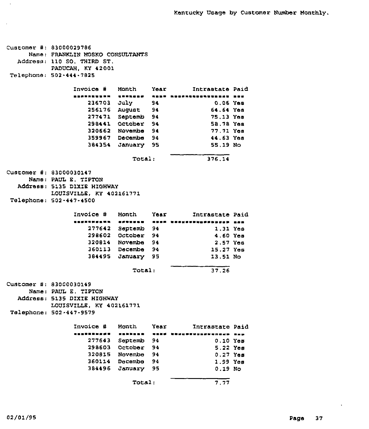```
Customer #: 83000029786
     Name: FRANKLIN MOSKO CONSULTANTS
  Addrese: 110 SO. THIRD ST.
           PADUCAH, KY 42001
Telephone: 502-444-7825
                Invoice ¹ Month Year Intrastate Paid
                    236703 July 9<mark>4</mark>
                    256176
August 94
                    277471
Septemb 94
                    298441
October 94
                    320662
Novembe 94
                    359967
Decembe 94
                    384354
January 95
                               Total:
                                                   0.06 Yes
                                                  64.64 Yes
                                                  75.13 Yee
                                                  58.78 Yes
                                                  77.71 Yes
                                                   44.63 Yes
                                                   55.19 No
                                                  3?6.14
Customer #: 83000030147
     Name: PAUL E. TIPTON
  Address: 5135 DIXIE HIGHWAY
           LOUISVILLE, KY 402161771
Telephone: 502-447-4500
                 Invoice #
                 ~ 0~ 811~ 881
SNOSSSS
                    277642
Septemb
94
                    298602
October
94
                    320814
Novembe
94
                    360113
Decembe
94
                    384495
January
95
                            Month
                                     Year
Intrastate Paid
                                                   1.31 Yee
                                                   4.60 Yes
                                                   2. 57 Yes
                                                   15.27 Yes
                                                   13,51 NQ
                               Total: 37.26
Customer #: 83000030149
     Name: PAUL E. TIPTON
  Address: 5135 DIXIE HIGHWAY
           LOUISVILLE, KY 402161771
Telephone: 502-447-9579
                Invoice ¹ Month Year Intrastate Paid
                    277643
Septemb 94
                    298603
October 94
                    320815
Novembe 94
                    360114
Decembe 94
                    384496
January 95
                                                    0.10 Yes
                                                    5.22 Yee
                                                    0.27 Yes
                                                    1.99 Yee
                                                    0.19 No
                               Total: 7.77
```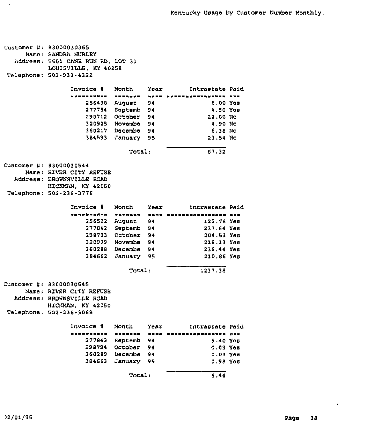| Customer #: 83000030365<br>Name: SANDRA HURLEY<br>Address: 5601 CANE RUN RD. LOT 31<br>LOUISVILLE, KY 40258<br>Telephone: 502-933-4322 |                   |      |                           |  |
|----------------------------------------------------------------------------------------------------------------------------------------|-------------------|------|---------------------------|--|
| Invoice #                                                                                                                              | Month             | Year | Intrastate Paid           |  |
| ----------                                                                                                                             |                   | ---- | ---------                 |  |
|                                                                                                                                        | 256438 August     | - 94 | 6.00 Yes                  |  |
|                                                                                                                                        | 277754 Septemb 94 |      | 4.50 Yes                  |  |
|                                                                                                                                        | 298712 October    | - 94 | 22.00 No                  |  |
|                                                                                                                                        | 320925 Novembe 94 |      | 4.90 N <sub>O</sub>       |  |
|                                                                                                                                        | 360217 Decembe    | - 94 | $6.38$ No.                |  |
|                                                                                                                                        |                   |      |                           |  |
|                                                                                                                                        | 384593 January 95 |      | 23.54 No                  |  |
|                                                                                                                                        | Total:            |      | 67.32                     |  |
| Customer #: 83000030544                                                                                                                |                   |      |                           |  |
| Name: RIVER CITY REFUSE                                                                                                                |                   |      |                           |  |
| Address: BROWNSVILLE ROAD                                                                                                              |                   |      |                           |  |
| HICKMAN, KY 42050                                                                                                                      |                   |      |                           |  |
| Telephone: 502-236-3776                                                                                                                |                   |      |                           |  |
|                                                                                                                                        |                   |      |                           |  |
| Invoice #                                                                                                                              | Month             | Year | Intrastate Paid           |  |
|                                                                                                                                        |                   |      | 水水果的 地名加利斯斯特地加加利斯地名美国 医尿病 |  |
|                                                                                                                                        | 256522 August     | 94   | 129.78 Yes                |  |
| 277842                                                                                                                                 | Septemb 94        |      | 237.64 Yes                |  |
|                                                                                                                                        | 298793 October 94 |      | 204.53 Yes                |  |
|                                                                                                                                        | 320999 Novamba    | - 94 | 218.13 Үев                |  |
|                                                                                                                                        | 360288 Decembe 94 |      | 236.44 Yes                |  |
| 384662                                                                                                                                 | January 95        |      | 210.86 Yes                |  |
|                                                                                                                                        | <b>Total:</b>     |      | 1237.38                   |  |
|                                                                                                                                        |                   |      |                           |  |
| Customer #: 83000030545                                                                                                                |                   |      |                           |  |
| Name: RIVER CITY REFUSE                                                                                                                |                   |      |                           |  |
| Address: BROWNSVILLE ROAD                                                                                                              |                   |      |                           |  |
| HICKMAN, KY 42050                                                                                                                      |                   |      |                           |  |
| Telephone: 502-236-3068                                                                                                                |                   |      |                           |  |
| Invoice #                                                                                                                              | Month             | Year | Intrastate Paid           |  |
| $\frac{1}{2}$                                                                                                                          | .                 | ---- | .                         |  |
| 277843                                                                                                                                 | Septemb           | 94   | 5.40 Yes                  |  |
| 298794                                                                                                                                 | October           | 94   | $0.03$ Yes                |  |
| 360289                                                                                                                                 | Decembe           | 94   | $0.03$ Yes                |  |
| 384663                                                                                                                                 | January           | 95   | 0.98 Yes                  |  |
|                                                                                                                                        |                   |      |                           |  |
|                                                                                                                                        | Total:            |      | 6.44                      |  |

 $\bar{\mathcal{A}}$ 

 $\ddot{\phantom{a}}$ 

 $\epsilon$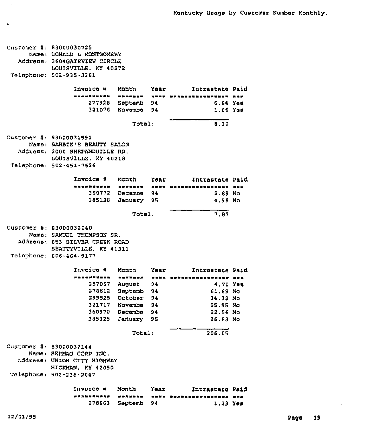$Customer$  #: 83000030725 Namel DONALD L MONTGOMERY Address: 3604GATEVIEW CIRCLE LOUISVILLE, KY 40271 Telephone: 501-935-3261 Invoice # Month Year Mintrastate Paid 1~ 1~ ~ 1 11 11 1<sup>~</sup> 11<sup>~</sup> \ <sup>~</sup> 1<sup>~</sup> \ 1 111 277928 Septsmb 94 321076 Novemb<mark>e 94</mark> 6.64 Yes 1.66 Yes Total: 8.30 Customer #: 83000031591 Name: BARBIE'S BEAUTY SALON Address: 2000 SHEPANDUILLE RD. LOUISVZILE, KY 40218 Telephone: 502-451-7626 Invoice # \*\*\*\*\*\*\*\*\*\*\*\* 360772 Dscembe 94 385138 Januazy 95 Month Year Intrastate Paid ease 1» \*\*\*\* \*\*\*\*\*\*\*\*\*\*\*\*\*\*\*\*\*\*\*\*\*\*\*\* 2.89 No 4,98 No Total: 7,87  $CustOmer$  #: 83000032040 Name: SAMUEL THOMPSON SR. Addzessl 853 SILVSR CREEK ROAD BEATTYVILLE, KY 41311 Telephone: 606-464-9177 Invoice ¹ Month Year Intrastate Paid 257067 August 94 278612 Septemb 94 299525 October 94 321717 Novembe 9<mark>4</mark> 360970 Decembe 94 385325 Januazy 95 4.70 Yss 61.69 No 34.32 No 55.95 No 22.56 No 26.83 No Total: 206.05  $C$ ustomer #: 83000032144 Name. BERMAG CORP INC, Address: UNION CITY HIGHWAY HICKMAN, KY 42050 Telephone: 502-236-2047 Invoice # Month Year 1111111111 1<sup>~</sup> 11111 1<sup>~</sup> 11 1111sae<sup>~</sup> 11111aa<sup>~</sup> 111 Intrastate Paid 278663 Septemb 94 1.23 Yes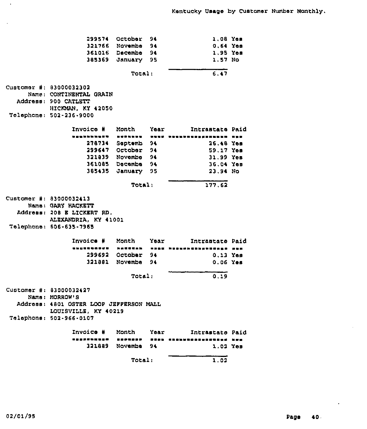|                                         | 299574 October                 | 94                                                                  | 1.08 Yem        |     |
|-----------------------------------------|--------------------------------|---------------------------------------------------------------------|-----------------|-----|
|                                         | 321766 Novembe                 | 94                                                                  | $0.64$ Yes      |     |
|                                         | 361016 Decembe 94              |                                                                     | 1.95 Yea        |     |
| 385369                                  | January                        | 95                                                                  | 1.57 No         |     |
|                                         |                                |                                                                     |                 |     |
|                                         | Total:                         |                                                                     | 6.47            |     |
| Customer #: 83000032302                 |                                |                                                                     |                 |     |
| Name: CONTINENTAL GRAIN                 |                                |                                                                     |                 |     |
| Address: 900 CATLETT                    |                                |                                                                     |                 |     |
| HICKMAN, KY 42050                       |                                |                                                                     |                 |     |
| Telephone: 502-236-9000                 |                                |                                                                     |                 |     |
| Invoice #                               | Month                          | Year                                                                | Intrastate Paid |     |
|                                         |                                |                                                                     |                 |     |
| .                                       | -------                        | $\qquad \qquad \blacksquare \blacksquare \blacksquare \blacksquare$ |                 | --- |
|                                         | 278734 Septemb 94              |                                                                     | 26.48 Yes       |     |
|                                         | 299647 October 94              |                                                                     | 59.17 Yes       |     |
|                                         | 321839 Novembe 94              |                                                                     | 31.99 Yes       |     |
|                                         | 361085 Decembe 94              |                                                                     | 36.04 Yes       |     |
|                                         | 385435 January 95              |                                                                     | 23.94 No        |     |
|                                         | <b>Total:</b>                  |                                                                     | 177.62          |     |
| Customer #: 83000032413                 |                                |                                                                     |                 |     |
| Name: GARY HACKETT                      |                                |                                                                     |                 |     |
| Address: 208 E LICKERT RD.              |                                |                                                                     |                 |     |
|                                         |                                |                                                                     |                 |     |
| ALEXANDRIA, KY 41001                    |                                |                                                                     |                 |     |
| Telephone: 606-635-7965                 |                                |                                                                     |                 |     |
| Invoice #                               | Month                          | Year                                                                | Intrastate Paid |     |
|                                         | <b><i><u>PLACEMENT</u></i></b> | <b><i><b><i>MI DO MI</i></b></i></b>                                |                 |     |
|                                         | 299692 Octobar 94              |                                                                     | $0.13$ Yes      |     |
|                                         | 321881 Novembe                 | 94                                                                  | 0.06 Yes        |     |
|                                         | Total:                         |                                                                     | 0.19            |     |
| Customer #: 83000032427                 |                                |                                                                     |                 |     |
| Name: MORROW'S                          |                                |                                                                     |                 |     |
| Address: 4801 OSTER LOOP JEFFERSON MALL |                                |                                                                     |                 |     |
| LOUISVILLE, KY 40219                    |                                |                                                                     |                 |     |
|                                         |                                |                                                                     |                 |     |
| Telephone: 502-966-0107                 |                                |                                                                     |                 |     |
| Invoice #                               | Month                          | Yoar                                                                | Intrastato Paid |     |
|                                         | ----                           | ----                                                                | -----------     | --- |
| 321889                                  | Novembe                        | 94                                                                  | 1.02 Уев        |     |
|                                         | Total:                         |                                                                     | 1.02            |     |
|                                         |                                |                                                                     |                 |     |

 $\hat{\mathcal{A}}$ 

 $\ddot{\phantom{a}}$ 

 $\ddot{\phantom{0}}$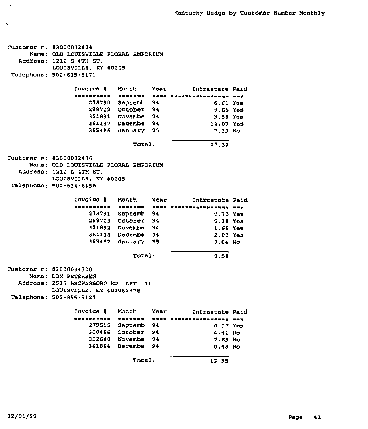Customer #: 83000032434 Name: QLD LOUISVILLE FLORAL EMPORIUM Address: 1212 S 4TH ST. LOUISVILLE, KY 40205 Telephone: 502-635-6171 Invoice ¹ Month Year Intrastate Paid 278790 Septemb 94 299702 October 94 321891 Novembe 94 361137 Decembe 94 385486 January 95 6.61 Yea 9.<sup>65</sup> Yss 9.58 Yee 14.09 Yea 7.39 No Total: 47.32  $C$ ustomer #: 83000032436 Name; OLD LOUISVILLE FLORAL EMPORZUM Address: 1212 S 4TN ST. LOUISVILLE, KY 40205 Telephone: 502,-634-8198 Invoice ¹ Month Year Intrastate Paid 278791 Septemb 94 0.70 Yes 299703 October 94 321892 Novembe 94 361138 Decembe 94 385487 January 95 0.38 Yes 1.66 Yes 2.80 Yes 3.04 No Total: 8.58  $Cluster +: 83000034300$ Name: DON PETERSEN Address: 2515 BROWNSBORO RD. APT. 10 LOUISVILLE, KY 402062378 Telephone: 502-895-9123 Invoice # Month Year Intrastate Paid<br>executive concest when wellingspecture in 279515 Septemb 94 300486 October 94 322640 Novembe 94 361864 Decembe 94 0.17 Yes 4.41 No 7.89 No 0.48 No Total: 12.95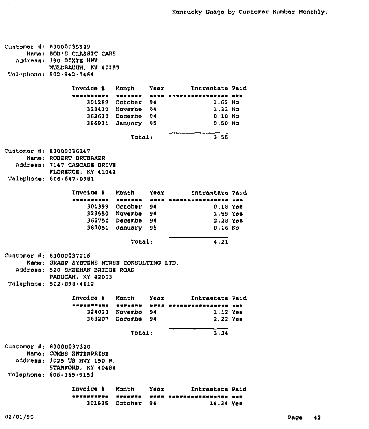Customer #: 83000035989 Name: BOB'S CLASSIC CARS Address: 390 DIXIE HWY MUIDRAUQH, KY 40155 Tnlophono. 502.942.7464 Invoice # Month Year Micrastate Paid <sup>~</sup> I <sup>~</sup> I <sup>~</sup> \ <sup>~</sup> I <sup>~</sup> <sup>~</sup> I\ <sup>~</sup> \$\$ \$ \$\$ <sup>~</sup> I <sup>~</sup> <sup>I</sup> <sup>~</sup> \$\$ 301289 October 94 313430 Novombo 94 3G2630 Docombo 94 386931 January 95 1.<sup>62</sup> No 1,33 No 0,10 No 0,50 No  $Total_i$  3.55  $C$ ustomar #: 83000036247 Name: ROBERT BRUBAKER Address; 7147 CASCADE DRIVE PLORSNCE, KY 41041 Telophonei 606.647.0981 Invoice # Month Year Mintrastate Paid 301399 October 94 323550 Novombs 94 362750 Docsmbe 94 387051 January 95 0,18 Yes 1.59 Yea 2,28 Yos 0,16 No Total: 4,21 Customer #: 83000037216 Namo: GRASP SYSTEMS NURSE CONSULTING LTD. Address: 520 SHEEHAN BRIDGE ROAD PADUCAH, KY 42003 Telephone: 502-898-4612 Invoice ¹ Month Year Intrastate Paid 324023 Novembo 363207 Decembo 1,12 Yos 2 22 Yeo Total: 3.34 Customer #: 83000037320 Nemo: COMBB ENTERPRISE Address: 3025 US HWY 150 W. BTANPORD, KY 40484 Telephone. 606-365-9153 Invoic<mark>e #</mark> Month <sup>~</sup> @I~I <sup>~</sup> I@~I <sup>~</sup> \$\$\$\$ <sup>~</sup> I Year Intrastate Paid <sup>I</sup>~IS \$ <sup>1</sup><sup>~</sup> IIII <sup>~</sup>SSSSSISI <sup>I</sup> <sup>~</sup> <sup>I</sup> 301835 October 94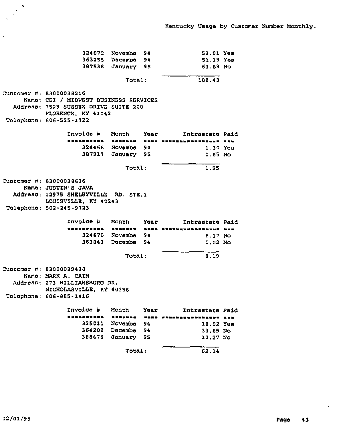|                                                                         | 324072 Novembe               | 94          | 59.01 Yes                 |  |  |  |
|-------------------------------------------------------------------------|------------------------------|-------------|---------------------------|--|--|--|
|                                                                         | 363255 Decembe               | 94          | 51.19 Yes                 |  |  |  |
| 387536                                                                  | January 95                   |             | 63.89N <sub>0</sub>       |  |  |  |
| Total:                                                                  |                              |             | 188,43                    |  |  |  |
| <b>Customer #: 83000038216</b><br>Name: CEI / MIDWEST BUSINESS SERVICES |                              |             |                           |  |  |  |
| Address: 7529 SUSSEX DRIVE SUITE 200<br>FLORENCE, KY 41042              |                              |             |                           |  |  |  |
| Telephone: 606-525-1722                                                 |                              |             |                           |  |  |  |
| Invoice #                                                               | Month                        | <b>Year</b> | Intrastate Paid           |  |  |  |
|                                                                         | -------                      |             | NSUU UNUSENSESSUSAUSS RNU |  |  |  |
| 324466                                                                  | Novembe 94                   |             | $1.30$ Yes                |  |  |  |
| 387917                                                                  | January 95                   |             | $0.65$ No                 |  |  |  |
|                                                                         | 1.95                         |             |                           |  |  |  |
| Customer #: 83000038636                                                 |                              |             |                           |  |  |  |
| Name: JUSTIN'S JAVA                                                     |                              |             |                           |  |  |  |
| Address: 12975 SHELBYVILLE RD, STE.1<br>LOUISVILLE, KY 40243            |                              |             |                           |  |  |  |
| Telephone: 502-245-9723                                                 |                              |             |                           |  |  |  |
| Invoice #                                                               | Month                        | Year        | Intrastate Paid           |  |  |  |
| ----- <b>----</b> -                                                     | <b><i><u>BRUEBER</u></i></b> |             | WEEK NEDDERSDOORDEDD BOU  |  |  |  |
|                                                                         | 324670 Novembe 94            |             | 8.17 No                   |  |  |  |
| 363843                                                                  | Decembe 94                   |             | $0.02$ No                 |  |  |  |
|                                                                         | Total:                       |             | 8.19                      |  |  |  |
| Customer #: 83000039438                                                 |                              |             |                           |  |  |  |
| Name: MARK A. CAIN                                                      |                              |             |                           |  |  |  |
| Address: 273 WILLIAMSBURG DR.                                           |                              |             |                           |  |  |  |
| NICHOLASVILLE, KY 40356                                                 |                              |             |                           |  |  |  |
| <b>Telephone: 606-885-1416</b>                                          |                              |             |                           |  |  |  |
| Invoice #                                                               | Month                        | Year        | Intrastate Paid           |  |  |  |
|                                                                         | <b><i><u>BREFINE</u></i></b> |             | ,,,,,,,,,,,,,,,,,,,,,     |  |  |  |
| 325011                                                                  | Novembe                      | 94          | 18.02 Yes                 |  |  |  |
|                                                                         | 364202 Decembe               | 94          | 33.85 No                  |  |  |  |
| 388476                                                                  | January 95                   |             | 10.27 No                  |  |  |  |
|                                                                         | Total:                       |             | 62.14                     |  |  |  |
|                                                                         |                              |             |                           |  |  |  |

 $\ddot{\phantom{0}}$ 

 $\bullet$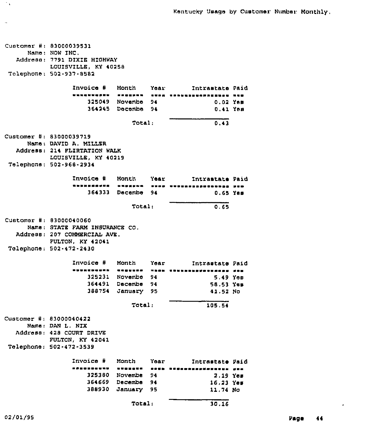| Customer #: 83000039531<br>Name: NOW INC.<br>Address: 7791 DIXIE HIGHWAY<br>LOUISVILLE, KY 40258<br>Telephone: 502-937-8582              |                                        |          |                                                                                                                                                                                                                                                   |  |
|------------------------------------------------------------------------------------------------------------------------------------------|----------------------------------------|----------|---------------------------------------------------------------------------------------------------------------------------------------------------------------------------------------------------------------------------------------------------|--|
| Invoice #                                                                                                                                | Month                                  |          | Year Intrastate Paid                                                                                                                                                                                                                              |  |
| _______ <b>_</b> __                                                                                                                      |                                        | ----     | -----------                                                                                                                                                                                                                                       |  |
|                                                                                                                                          | 325049 Novembe 94<br>364245 Docembe 94 |          | 0.02 YAN<br>0.41 Yom                                                                                                                                                                                                                              |  |
|                                                                                                                                          |                                        |          |                                                                                                                                                                                                                                                   |  |
|                                                                                                                                          | Total:                                 |          | 0.43                                                                                                                                                                                                                                              |  |
| Customer #: 83000039719<br>Name: DAVID A. MILLER<br>Address: 214 FLIRTATION WALK<br>LOUISVILLE, KY 40219<br>Telephone: 502-968-2934      |                                        |          |                                                                                                                                                                                                                                                   |  |
| Invoice # Month                                                                                                                          |                                        |          | Year and the second state of the second state of the second state of the second state of the second state of the second state of the second state of the second state of the second state in the second state of the second st<br>Intramtate Paid |  |
| ----------                                                                                                                               | -------                                |          | <b>UNDO STREETSCAPSSONS SUM</b>                                                                                                                                                                                                                   |  |
|                                                                                                                                          | 364333 Decembe 94                      |          | 0.65 Yes                                                                                                                                                                                                                                          |  |
|                                                                                                                                          | Total:                                 |          | 0.65                                                                                                                                                                                                                                              |  |
| Customer #: 83000040060<br>Name: STATE FARM INSURANCE CO.<br>Address: 207 COMMERCIAL AVE.<br>FULTON, KY 42041<br>Telephone: 502-472-2430 |                                        |          |                                                                                                                                                                                                                                                   |  |
| Invoice #                                                                                                                                | Month                                  | Year     | Intrastate Paid                                                                                                                                                                                                                                   |  |
|                                                                                                                                          | ------------                           |          |                                                                                                                                                                                                                                                   |  |
|                                                                                                                                          | 325231 Novembe                         | 94       | - S 49 You                                                                                                                                                                                                                                        |  |
|                                                                                                                                          | 364491 Dacembe                         | 94       | 58.53 Yes                                                                                                                                                                                                                                         |  |
| 388754                                                                                                                                   | January 95                             |          | 41.52 No                                                                                                                                                                                                                                          |  |
|                                                                                                                                          | Total:                                 |          | 105 54                                                                                                                                                                                                                                            |  |
| Customar #: 83000040422<br>Name: DAN L. NIX<br><b>Address: 428 COURT DRIVE</b><br>FULTON, KY 42041<br>Telephone: 502-472-3539            |                                        |          |                                                                                                                                                                                                                                                   |  |
|                                                                                                                                          |                                        |          |                                                                                                                                                                                                                                                   |  |
| Invoice #                                                                                                                                | Month                                  | Year     | Intrastate Paid                                                                                                                                                                                                                                   |  |
|                                                                                                                                          | -------<br>Novembe                     | ----     | --------------                                                                                                                                                                                                                                    |  |
| 325380<br>364669                                                                                                                         | Decembe                                | 94<br>94 | 2.19 Yes                                                                                                                                                                                                                                          |  |
| 388930                                                                                                                                   | January                                | 95       | 16.23 Yes<br>11.74 No                                                                                                                                                                                                                             |  |
|                                                                                                                                          |                                        |          |                                                                                                                                                                                                                                                   |  |
|                                                                                                                                          | Total:                                 |          | 30.16                                                                                                                                                                                                                                             |  |

 $\sim$   $\sim$ 

 $\sim 10^7$ 

 $\epsilon$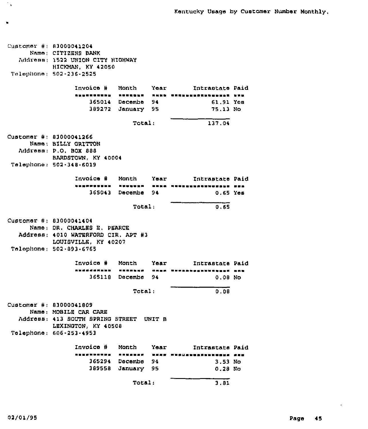$C$ ustomer #: 83000041204 Name; CITIEENS BANK Address: 1522 UNION CITY HIGHWAY HICKMAN, KY 42050 Telephone, 502-236-2525 Invoice # Month Year Intrastate Paid 365014 Decembe 94 61.91 Yos 389272 95 January Total: 75,13 No 137.04  $C$ ustomer #: 83000041266 Name, BILLY GRITTON Address: P,O, BOX 888 BARDSTOWN, KY 40004 Telephone: 502 <sup>~</sup> 348-6019 Invoice # Month Year = Intrastate Paid 1117220 A 1111,11 - 1112 - 1111220 AUSTRALIAN<br>1117220 A 1111,111 - 1112 - 1111 365043 Decembs 94 0.65 Yes Total: 0.65  $C$ ustomer #: 83000041404 Name, DR, CHARLES E, PEARCE Address; 4010 WATERFORD CIR, APT #3 LOUISVILLE, KY 40207 Telephone, 502.893 <sup>~</sup> 6765 Invoice # Month Year Mintrastate Paid I <sup>~</sup> I <sup>~</sup> 111<sup>~</sup> 11 I <sup>~</sup> 11 I ! <sup>~</sup> 1111<sup>~</sup> I <sup>~</sup> I 11<sup>~</sup> 365118 Decembs 94 0,08 No Total: 0.08  $Customer$  #: 83000041809 Name: MOBILE CAR CARE Address: 413 SOUTH SPRING STREET UNIT B LEXINGTON, KY 40508 Telephone: 606-253.4953 Invoice # Month Year Intrastate Paid 365294 Decembe 94 389558 January 95 3.53 No 0.28 No Total: 3.81

Îγ.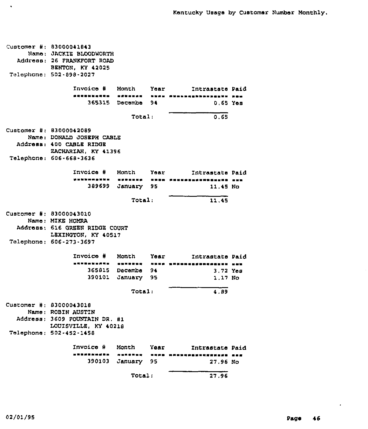|                         | Customer #: 83000041843<br>Name: JACKIE BLOODWORTH<br>Address: 26 FRANKFORT ROAD<br>BENTON, KY 42025<br>Telephone: 502-898-2027    |                   |      |                                     |  |  |  |
|-------------------------|------------------------------------------------------------------------------------------------------------------------------------|-------------------|------|-------------------------------------|--|--|--|
|                         | Invoice # Month Year                                                                                                               |                   |      | Intrastate Paid                     |  |  |  |
|                         | ,,,,,,,,,,,                                                                                                                        |                   |      | SANSSAG - BUAS PUNDEGGSSESAGUNS RON |  |  |  |
|                         |                                                                                                                                    | 365315 Decembe 94 |      | $0.65$ Yes                          |  |  |  |
|                         | Total:<br>0.65                                                                                                                     |                   |      |                                     |  |  |  |
|                         | Customer #: 83000042089<br>Name: DONALD JOSEPH CABLE<br>Address: 400 CABLE RIDGE<br>ZACHARIAH, KY 41396<br>Telephone: 606-668-3636 |                   |      |                                     |  |  |  |
|                         | Invoice # Month Year                                                                                                               |                   |      | Intrastate Paid                     |  |  |  |
|                         | .                                                                                                                                  |                   |      | SURSESA STRA PRESERVATORENA SER     |  |  |  |
|                         | 389699                                                                                                                             | January 95        |      | 11.45 No                            |  |  |  |
|                         |                                                                                                                                    | Total:            |      | 11.45                               |  |  |  |
|                         | Customer #: 83000043010<br>Name: MIKE HOMRA<br>Address: 616 GREEN RIDGE COURT<br>LEXINGTON, KY 40517<br>Telephone: 606-273-3697    |                   |      |                                     |  |  |  |
|                         | Invoice # Month Year                                                                                                               |                   |      | Intrastate Paid                     |  |  |  |
|                         | ----------                                                                                                                         |                   |      | NENBREG ARNA ENNBRUGSUNGSBENN NUN   |  |  |  |
|                         |                                                                                                                                    | 365815 Decembe 94 |      | 3.72 Yes                            |  |  |  |
|                         |                                                                                                                                    | 390101 January    | 95 - | $1.17$ No                           |  |  |  |
|                         |                                                                                                                                    | 4.89              |      |                                     |  |  |  |
| Customer #: 83000043018 | Name: ROBIN AUSTIN<br>Address: 3609 FOUNTAIN DR. #1<br>LOUISVILLE, KY 40218<br>Telephone: 502-452-1458                             |                   |      |                                     |  |  |  |
|                         | Invoice #                                                                                                                          | Month             | Year | Intrastate Paid                     |  |  |  |
|                         | . <i>.</i>                                                                                                                         | ,,,,,,,,          |      | ==============                      |  |  |  |
|                         | 390103                                                                                                                             | January           | 95   | 27.96 No                            |  |  |  |
|                         |                                                                                                                                    | Total:            |      | 27.96                               |  |  |  |

 $\langle \bullet \rangle$ 

 $\hat{\boldsymbol{\theta}}$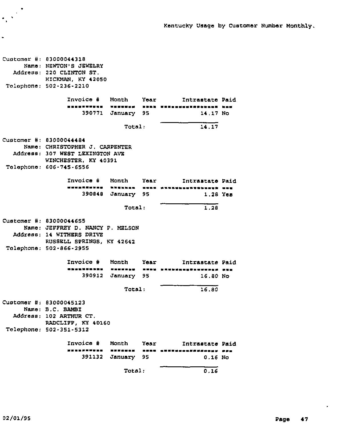Kentucky Usage by Customer Number Monthly.

customer #: 83000044318 Name: NEWTON'S JEWELRY Address: 220 CLINTON ST. HZCKMAN, KY 42050 Telephone: 502-236-2210 Invoice ¹ Month Year Intrastate Paid 390771 January 95 14.17 No Total: 14,17 Customer 83000044484 er #: asocoodinadi<br>Name: CHRISTOPHER J. CARPENTER Address: 307 WEST LEXINGTON AVE WINCHESTER, KY 40391 Telephone: 606-745-6556 Invoice # Month Year = Intrastate Paid WWWARAWUNG KURUNGU NGEN PRANNHENTUNDEN NGE 390848 January 95 1.<sup>28</sup> Yes Total: 1.28 Customer #: 83000044655 Name: JEFFREY D. NANCY P. MELSON Address: 14 WITHERS DRIVE RUSSELL SPRINGS, KY 42642 Telephone: 502-866-2955 Invoice # Month Year - Intrastate Paid WSSWSSWS MUNICUS SURS BRRSSHEEGSBUURGE REE 390912 January 95 16.80 No Total: 16.80 Customer #: 83000045123 Name: 5.C. SAMSI Address: 102 ARTHUR CT. RADCLIPP, KY 40160 Telephone: 502-351-5312 Invoice # Month Year - Intrastate Paid WSSENTUSE EXXUSE SSEE EUXUSSERHANGEM PPE 391132 January 95 0.16 No Total:  $0.16$